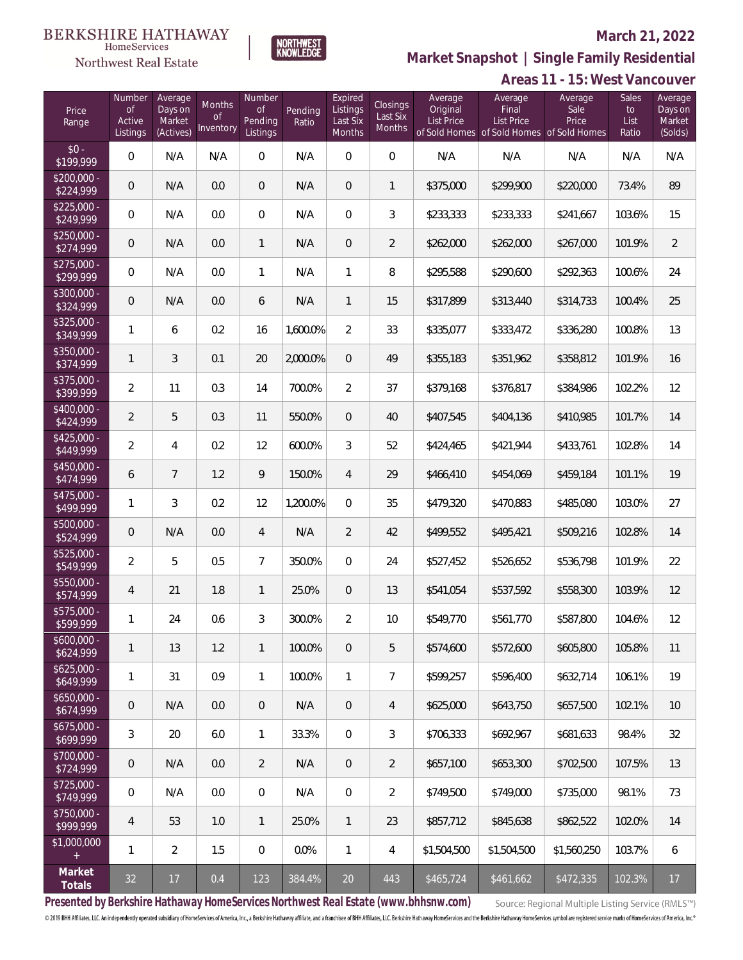# Northwest Real Estate

### **March 21, 2022**



# **Market Snapshot | Single Family Residential**

| Areas 11 - 15: West Vancouver |
|-------------------------------|
|-------------------------------|

| Price<br>Range            | Number<br><b>of</b><br>Active<br>Listings | Average<br>Days on<br>Market<br>(Actives) | Months<br><b>of</b><br>Inventory | Number<br><b>of</b><br>Pending<br>Listings | Pending<br>Ratio | Expired<br>Listings<br>Last Six<br>Months | Closings<br>Last Six<br>Months | Average<br>Original<br><b>List Price</b> | Average<br>Final<br><b>List Price</b><br>of Sold Homes of Sold Homes of Sold Homes | Average<br>Sale<br>Price | Sales<br>to<br>List<br>Ratio | Average<br>Days on<br>Market<br>(Solds) |
|---------------------------|-------------------------------------------|-------------------------------------------|----------------------------------|--------------------------------------------|------------------|-------------------------------------------|--------------------------------|------------------------------------------|------------------------------------------------------------------------------------|--------------------------|------------------------------|-----------------------------------------|
| $$0 -$<br>\$199,999       | $\mathsf{O}\xspace$                       | N/A                                       | N/A                              | $\overline{0}$                             | N/A              | $\overline{0}$                            | $\overline{0}$                 | N/A                                      | N/A                                                                                | N/A                      | N/A                          | N/A                                     |
| $$200,000 -$<br>\$224,999 | $\overline{0}$                            | N/A                                       | 0.0                              | $\overline{0}$                             | N/A              | $\overline{0}$                            | $\mathbf{1}$                   | \$375,000                                | \$299,900                                                                          | \$220,000                | 73.4%                        | 89                                      |
| $$225,000 -$<br>\$249,999 | $\overline{0}$                            | N/A                                       | 0.0                              | $\overline{0}$                             | N/A              | $\overline{0}$                            | 3                              | \$233,333                                | \$233,333                                                                          | \$241,667                | 103.6%                       | 15                                      |
| $$250,000 -$<br>\$274,999 | $\overline{0}$                            | N/A                                       | 0.0                              | $\mathbf{1}$                               | N/A              | $\mathbf 0$                               | $\overline{2}$                 | \$262,000                                | \$262,000                                                                          | \$267,000                | 101.9%                       | $\overline{2}$                          |
| $$275,000 -$<br>\$299,999 | $\mathsf{O}\xspace$                       | N/A                                       | 0.0                              | $\mathbf{1}$                               | N/A              | $\mathbf{1}$                              | 8                              | \$295,588                                | \$290,600                                                                          | \$292,363                | 100.6%                       | 24                                      |
| $$300,000 -$<br>\$324,999 | $\overline{0}$                            | N/A                                       | 0.0                              | 6                                          | N/A              | $\mathbf{1}$                              | 15                             | \$317,899                                | \$313,440                                                                          | \$314,733                | 100.4%                       | 25                                      |
| $$325,000 -$<br>\$349,999 | $\mathbf{1}$                              | 6                                         | 0.2                              | 16                                         | 1,600.0%         | $\overline{2}$                            | 33                             | \$335,077                                | \$333,472                                                                          | \$336,280                | 100.8%                       | 13                                      |
| $$350,000 -$<br>\$374,999 | $\mathbf{1}$                              | 3                                         | 0.1                              | 20                                         | 2,000.0%         | $\overline{0}$                            | 49                             | \$355,183                                | \$351,962                                                                          | \$358,812                | 101.9%                       | 16                                      |
| $$375,000 -$<br>\$399,999 | $\overline{2}$                            | 11                                        | 0.3                              | 14                                         | 700.0%           | $\overline{2}$                            | 37                             | \$379,168                                | \$376,817                                                                          | \$384,986                | 102.2%                       | 12                                      |
| $$400,000 -$<br>\$424,999 | $\overline{2}$                            | 5                                         | 0.3                              | 11                                         | 550.0%           | $\overline{0}$                            | 40                             | \$407,545                                | \$404,136                                                                          | \$410,985                | 101.7%                       | 14                                      |
| $$425,000 -$<br>\$449,999 | $\overline{2}$                            | $\overline{4}$                            | 0.2                              | 12                                         | 600.0%           | 3                                         | 52                             | \$424,465                                | \$421,944                                                                          | \$433,761                | 102.8%                       | 14                                      |
| $$450,000 -$<br>\$474,999 | 6                                         | $\overline{7}$                            | 1.2                              | 9                                          | 150.0%           | $\overline{4}$                            | 29                             | \$466,410                                | \$454,069                                                                          | \$459,184                | 101.1%                       | 19                                      |
| $$475,000 -$<br>\$499,999 | 1                                         | 3                                         | 0.2                              | 12                                         | 1,200.0%         | $\Omega$                                  | 35                             | \$479,320                                | \$470,883                                                                          | \$485,080                | 103.0%                       | 27                                      |
| $$500,000 -$<br>\$524,999 | $\overline{0}$                            | N/A                                       | 0.0                              | $\overline{4}$                             | N/A              | $\overline{2}$                            | 42                             | \$499,552                                | \$495,421                                                                          | \$509,216                | 102.8%                       | 14                                      |
| $$525,000 -$<br>\$549,999 | $\overline{2}$                            | 5                                         | 0.5                              | $\overline{7}$                             | 350.0%           | $\overline{0}$                            | 24                             | \$527,452                                | \$526,652                                                                          | \$536,798                | 101.9%                       | 22                                      |
| \$550,000 -<br>\$574,999  | 4                                         | 21                                        | 1.8                              | $\mathbf{1}$                               | 25.0%            | $\overline{0}$                            | 13                             | \$541,054                                | \$537,592                                                                          | \$558,300                | 103.9%                       | 12                                      |
| $$575,000 -$<br>\$599,999 | 1                                         | 24                                        | 0.6                              | 3                                          | 300.0%           | $\overline{2}$                            | 10                             | \$549,770                                | \$561,770                                                                          | \$587,800                | 104.6%                       | 12                                      |
| $$600,000 -$<br>\$624,999 | $\mathbf{1}$                              | 13                                        | 1.2                              | $\mathbf{1}$                               | 100.0%           | $\mathbf 0$                               | 5                              | \$574,600                                | \$572,600                                                                          | \$605,800                | 105.8%                       | 11                                      |
| $$625,000 -$<br>\$649,999 | 1                                         | 31                                        | 0.9                              | $\mathbf{1}$                               | 100.0%           | $\mathbf{1}$                              | 7                              | \$599,257                                | \$596,400                                                                          | \$632,714                | 106.1%                       | 19                                      |
| $$650,000 -$<br>\$674,999 | $\mathbf 0$                               | N/A                                       | 0.0                              | $\overline{0}$                             | N/A              | $\mathbf 0$                               | 4                              | \$625,000                                | \$643,750                                                                          | \$657,500                | 102.1%                       | 10                                      |
| \$675,000 -<br>\$699,999  | 3                                         | 20                                        | 6.0                              | $\mathbf{1}$                               | 33.3%            | 0                                         | 3                              | \$706,333                                | \$692,967                                                                          | \$681,633                | 98.4%                        | 32                                      |
| \$700,000 -<br>\$724,999  | 0                                         | N/A                                       | 0.0                              | $\overline{2}$                             | N/A              | $\overline{0}$                            | $\overline{2}$                 | \$657,100                                | \$653,300                                                                          | \$702,500                | 107.5%                       | 13                                      |
| $$725,000 -$<br>\$749,999 | 0                                         | N/A                                       | 0.0                              | $\mathbf 0$                                | N/A              | 0                                         | $\overline{2}$                 | \$749,500                                | \$749,000                                                                          | \$735,000                | 98.1%                        | 73                                      |
| \$750,000 -<br>\$999,999  | 4                                         | 53                                        | 1.0                              | $\overline{1}$                             | 25.0%            | $\mathbf{1}$                              | 23                             | \$857,712                                | \$845,638                                                                          | \$862,522                | 102.0%                       | 14                                      |
| \$1,000,000<br>$^{+}$     | 1                                         | $\overline{2}$                            | 1.5                              | $\mathbf 0$                                | 0.0%             | $\mathbf{1}$                              | 4                              | \$1,504,500                              | \$1,504,500                                                                        | \$1,560,250              | 103.7%                       | 6                                       |
| Market<br>Totals          | $32\,$                                    | $17\,$                                    | $0.4\,$                          | 123                                        | 384.4%           | $20\,$                                    | 443                            | \$465,724                                | \$461,662                                                                          | \$472,335                | 102.3%                       | 17                                      |

**Presented by Berkshire Hathaway HomeServices Northwest Real Estate (www.bhhsnw.com)**

Source: Regional Multiple Listing Service (RMLS™)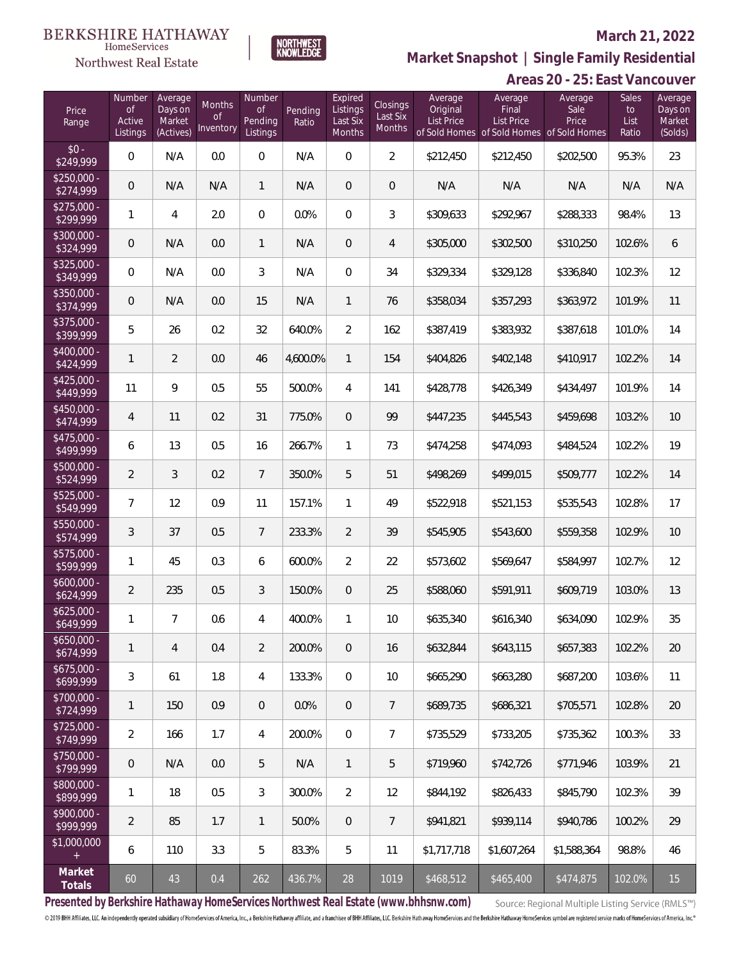## Northwest Real Estate

### **March 21, 2022**



**Areas 20 - 25: East Vancouver Market Snapshot | Single Family Residential**

| Price<br>Range            | Number<br><b>of</b><br>Active<br>Listings | Average<br>Days on<br>Market<br>(Actives) | <b>Months</b><br><b>of</b><br>Inventory | <b>Number</b><br><b>of</b><br>Pending<br>Listings | Pending<br>Ratio | Expired<br>Listings<br>Last Six<br>Months | <b>Closings</b><br>Last Six<br>Months | Average<br>Original<br><b>List Price</b> | Average<br>Final<br>List Price<br>of Sold Homes of Sold Homes of Sold Homes | Average<br>Sale<br>Price | <b>Sales</b><br>to<br>List<br>Ratio | Average<br>Days on<br>Market<br>(Solds) |
|---------------------------|-------------------------------------------|-------------------------------------------|-----------------------------------------|---------------------------------------------------|------------------|-------------------------------------------|---------------------------------------|------------------------------------------|-----------------------------------------------------------------------------|--------------------------|-------------------------------------|-----------------------------------------|
| $$0 -$<br>\$249,999       | $\boldsymbol{0}$                          | N/A                                       | 0.0                                     | 0                                                 | N/A              | $\overline{0}$                            | $\overline{2}$                        | \$212,450                                | \$212,450                                                                   | \$202,500                | 95.3%                               | 23                                      |
| \$250,000 -<br>\$274,999  | $\mathbf 0$                               | N/A                                       | N/A                                     | $\mathbf{1}$                                      | N/A              | $\mathbf 0$                               | $\mathsf{O}\xspace$                   | N/A                                      | N/A                                                                         | N/A                      | N/A                                 | N/A                                     |
| $$275,000 -$<br>\$299,999 | $\mathbf{1}$                              | 4                                         | 2.0                                     | 0                                                 | 0.0%             | $\overline{0}$                            | 3                                     | \$309,633                                | \$292,967                                                                   | \$288,333                | 98.4%                               | 13                                      |
| \$300,000 -<br>\$324,999  | $\overline{0}$                            | N/A                                       | 0.0                                     | $\mathbf{1}$                                      | N/A              | $\mathbf 0$                               | $\overline{4}$                        | \$305,000                                | \$302,500                                                                   | \$310,250                | 102.6%                              | 6                                       |
| $$325,000 -$<br>\$349,999 | $\boldsymbol{0}$                          | N/A                                       | 0.0                                     | 3                                                 | N/A              | $\overline{0}$                            | 34                                    | \$329,334                                | \$329,128                                                                   | \$336,840                | 102.3%                              | 12                                      |
| \$350,000 -<br>\$374,999  | $\mathbf 0$                               | N/A                                       | 0.0                                     | 15                                                | N/A              | $\mathbf{1}$                              | 76                                    | \$358,034                                | \$357,293                                                                   | \$363,972                | 101.9%                              | 11                                      |
| \$375,000 -<br>\$399,999  | 5                                         | 26                                        | 0.2                                     | 32                                                | 640.0%           | $\overline{2}$                            | 162                                   | \$387,419                                | \$383,932                                                                   | \$387,618                | 101.0%                              | 14                                      |
| $$400,000 -$<br>\$424,999 | $\mathbf{1}$                              | $\overline{2}$                            | 0.0                                     | 46                                                | 4,600.0%         | $\mathbf{1}$                              | 154                                   | \$404,826                                | \$402,148                                                                   | \$410,917                | 102.2%                              | 14                                      |
| $$425,000 -$<br>\$449,999 | 11                                        | 9                                         | 0.5                                     | 55                                                | 500.0%           | $\overline{4}$                            | 141                                   | \$428,778                                | \$426,349                                                                   | \$434,497                | 101.9%                              | 14                                      |
| $$450,000 -$<br>\$474,999 | 4                                         | 11                                        | 0.2                                     | 31                                                | 775.0%           | $\overline{0}$                            | 99                                    | \$447,235                                | \$445,543                                                                   | \$459,698                | 103.2%                              | 10                                      |
| $$475,000 -$<br>\$499,999 | 6                                         | 13                                        | 0.5                                     | 16                                                | 266.7%           | $\mathbf{1}$                              | 73                                    | \$474,258                                | \$474,093                                                                   | \$484,524                | 102.2%                              | 19                                      |
| \$500,000 -<br>\$524,999  | $\overline{2}$                            | 3                                         | 0.2                                     | $7\overline{ }$                                   | 350.0%           | 5                                         | 51                                    | \$498,269                                | \$499,015                                                                   | \$509,777                | 102.2%                              | 14                                      |
| $$525,000 -$<br>\$549,999 | $\overline{7}$                            | 12                                        | 0.9                                     | 11                                                | 157.1%           | $\mathbf{1}$                              | 49                                    | \$522,918                                | \$521,153                                                                   | \$535,543                | 102.8%                              | 17                                      |
| $$550.000 -$<br>\$574,999 | $\sqrt{3}$                                | 37                                        | 0.5                                     | $7\overline{ }$                                   | 233.3%           | $\overline{2}$                            | 39                                    | \$545,905                                | \$543,600                                                                   | \$559,358                | 102.9%                              | 10                                      |
| $$575.000 -$<br>\$599,999 | $\mathbf{1}$                              | 45                                        | 0.3                                     | 6                                                 | 600.0%           | $\overline{2}$                            | 22                                    | \$573,602                                | \$569,647                                                                   | \$584,997                | 102.7%                              | 12                                      |
| $$600.000 -$<br>\$624,999 | $\overline{2}$                            | 235                                       | 0.5                                     | 3                                                 | 150.0%           | $\mathbf 0$                               | 25                                    | \$588,060                                | \$591,911                                                                   | \$609,719                | 103.0%                              | 13                                      |
| $$625,000 -$<br>\$649,999 | 1                                         | 7                                         | 0.6                                     | 4                                                 | 400.0%           | 1                                         | 10                                    | \$635,340                                | \$616,340                                                                   | \$634,090                | 102.9%                              | 35                                      |
| $$650,000 -$<br>\$674,999 | $\mathbf{1}$                              | $\overline{4}$                            | 0.4                                     | $\overline{2}$                                    | 200.0%           | $\overline{0}$                            | 16                                    | \$632.844                                | \$643,115                                                                   | \$657,383                | 102.2%                              | 20                                      |
| $$675,000 -$<br>\$699,999 | 3                                         | 61                                        | 1.8                                     | 4                                                 | 133.3%           | $\mathbf 0$                               | 10                                    | \$665,290                                | \$663.280                                                                   | \$687,200                | 103.6%                              | 11                                      |
| \$700,000 -<br>\$724,999  | $\mathbf{1}$                              | 150                                       | 0.9                                     | $\overline{0}$                                    | 0.0%             | $\mathbf{0}$                              | $7\overline{ }$                       | \$689,735                                | \$686,321                                                                   | \$705,571                | 102.8%                              | 20                                      |
| $$725,000 -$<br>\$749,999 | $\overline{2}$                            | 166                                       | 1.7                                     | 4                                                 | 200.0%           | $\mathbf{0}$                              | 7                                     | \$735,529                                | \$733.205                                                                   | \$735.362                | 100.3%                              | 33                                      |
| \$750,000 -<br>\$799,999  | $\theta$                                  | N/A                                       | 0.0                                     | 5                                                 | N/A              | $\mathbf{1}$                              | 5                                     | \$719,960                                | \$742,726                                                                   | \$771,946                | 103.9%                              | 21                                      |
| \$800,000 -<br>\$899,999  | 1                                         | 18                                        | 0.5                                     | 3                                                 | 300.0%           | 2                                         | 12                                    | \$844,192                                | \$826,433                                                                   | \$845,790                | 102.3%                              | 39                                      |
| \$900,000 -<br>\$999,999  | $\overline{2}$                            | 85                                        | 1.7                                     | $\mathbf{1}$                                      | 50.0%            | $\overline{0}$                            | $\overline{7}$                        | \$941,821                                | \$939,114                                                                   | \$940,786                | 100.2%                              | 29                                      |
| \$1,000,000               | 6                                         | 110                                       | 3.3                                     | 5                                                 | 83.3%            | 5                                         | 11                                    | \$1,717,718                              | \$1,607,264                                                                 | \$1,588,364              | 98.8%                               | 46                                      |
| Market<br>Totals          | 60                                        | 43                                        | 0.4                                     | 262                                               | 436.7%           | 28                                        | 1019                                  | \$468,512                                | \$465,400                                                                   | \$474,875                | 102.0%                              | 15                                      |

**Presented by Berkshire Hathaway HomeServices Northwest Real Estate (www.bhhsnw.com)**

Source: Regional Multiple Listing Service (RMLS™)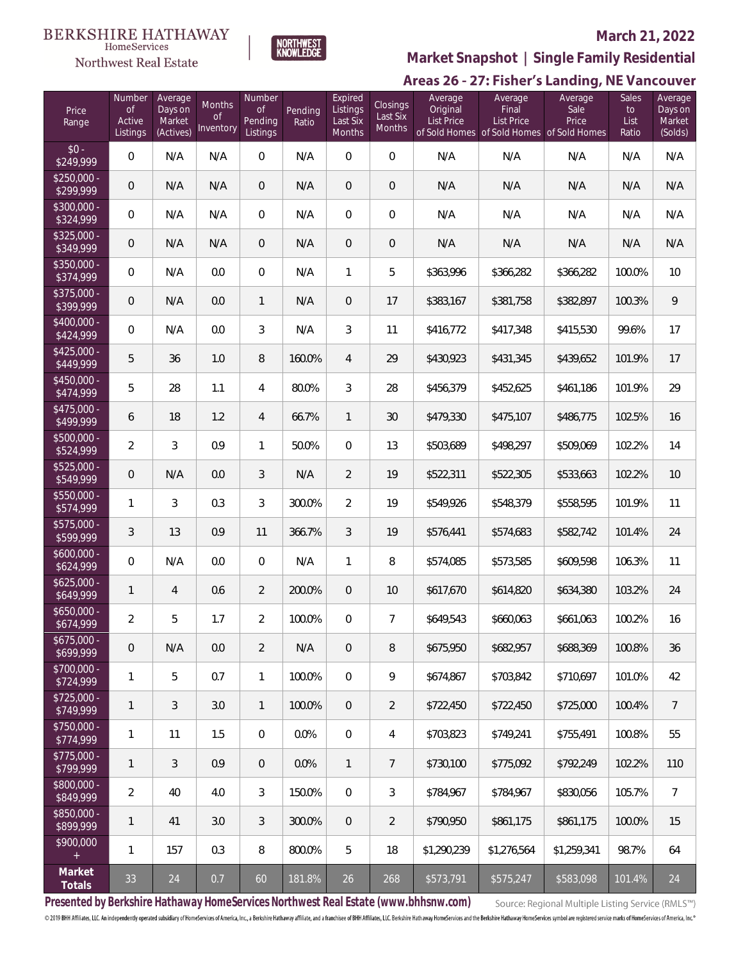#### **BERKSHIRE HATHAWAY** HomeServices





### **March 21, 2022**

**Market Snapshot | Single Family Residential**

# Areas 26 - 27: Fisher's Landing, NE Vancouver

| Price<br>Range            | Number<br>$\mathop{\rm of}$<br>Active<br>Listings | Average<br>Days on<br>Market<br>(Actives) | Months<br><b>of</b><br>Inventory | Number<br><b>of</b><br>Pending<br>Listings | Pending<br>Ratio | Expired<br>Listings<br>Last Six<br>Months | Closings<br>Last Six<br>Months | Average<br>Original<br><b>List Price</b> | Average<br>Final<br><b>List Price</b><br>of Sold Homes of Sold Homes of Sold Homes | Average<br>Sale<br>Price | <b>Sales</b><br>to<br>List<br>Ratio | Average<br>Days on<br>Market<br>(Solds) |
|---------------------------|---------------------------------------------------|-------------------------------------------|----------------------------------|--------------------------------------------|------------------|-------------------------------------------|--------------------------------|------------------------------------------|------------------------------------------------------------------------------------|--------------------------|-------------------------------------|-----------------------------------------|
| $$0 -$<br>\$249,999       | $\overline{0}$                                    | N/A                                       | N/A                              | $\overline{0}$                             | N/A              | $\overline{0}$                            | $\overline{0}$                 | N/A                                      | N/A                                                                                | N/A                      | N/A                                 | N/A                                     |
| $$250.000 -$<br>\$299,999 | $\overline{0}$                                    | N/A                                       | N/A                              | $\overline{0}$                             | N/A              | $\overline{0}$                            | $\overline{0}$                 | N/A                                      | N/A                                                                                | N/A                      | N/A                                 | N/A                                     |
| \$300,000 -<br>\$324,999  | $\mathbf{0}$                                      | N/A                                       | N/A                              | $\overline{0}$                             | N/A              | $\overline{0}$                            | $\boldsymbol{0}$               | N/A                                      | N/A                                                                                | N/A                      | N/A                                 | N/A                                     |
| $$325,000 -$<br>\$349,999 | $\overline{0}$                                    | N/A                                       | N/A                              | $\overline{0}$                             | N/A              | $\overline{0}$                            | $\overline{0}$                 | N/A                                      | N/A                                                                                | N/A                      | N/A                                 | N/A                                     |
| \$350,000 -<br>\$374,999  | $\overline{0}$                                    | N/A                                       | 0.0                              | $\overline{0}$                             | N/A              | $\mathbf{1}$                              | 5                              | \$363,996                                | \$366,282                                                                          | \$366,282                | 100.0%                              | 10                                      |
| \$375,000 -<br>\$399,999  | $\overline{0}$                                    | N/A                                       | 0.0                              | $\mathbf{1}$                               | N/A              | $\overline{0}$                            | 17                             | \$383,167                                | \$381,758                                                                          | \$382,897                | 100.3%                              | 9                                       |
| \$400,000 -<br>\$424,999  | $\overline{0}$                                    | N/A                                       | 0.0                              | 3                                          | N/A              | 3                                         | 11                             | \$416,772                                | \$417,348                                                                          | \$415,530                | 99.6%                               | 17                                      |
| \$425,000 -<br>\$449,999  | 5                                                 | 36                                        | 1.0                              | $\, 8$                                     | 160.0%           | $\overline{4}$                            | 29                             | \$430,923                                | \$431,345                                                                          | \$439,652                | 101.9%                              | 17                                      |
| \$450,000 -<br>\$474,999  | 5                                                 | 28                                        | 1.1                              | $\overline{4}$                             | 80.0%            | 3                                         | 28                             | \$456,379                                | \$452,625                                                                          | \$461,186                | 101.9%                              | 29                                      |
| $$475,000 -$<br>\$499,999 | 6                                                 | 18                                        | 1.2                              | $\overline{4}$                             | 66.7%            | $\mathbf{1}$                              | 30                             | \$479,330                                | \$475,107                                                                          | \$486,775                | 102.5%                              | 16                                      |
| $$500,000 -$<br>\$524,999 | $\overline{2}$                                    | 3                                         | 0.9                              | $\mathbf{1}$                               | 50.0%            | $\overline{0}$                            | 13                             | \$503,689                                | \$498,297                                                                          | \$509,069                | 102.2%                              | 14                                      |
| $$525,000 -$<br>\$549,999 | $\overline{0}$                                    | N/A                                       | 0.0                              | 3                                          | N/A              | $\overline{2}$                            | 19                             | \$522,311                                | \$522,305                                                                          | \$533,663                | 102.2%                              | 10                                      |
| \$550,000 -<br>\$574,999  | $\mathbf{1}$                                      | 3                                         | 0.3                              | 3                                          | 300.0%           | $\overline{2}$                            | 19                             | \$549,926                                | \$548,379                                                                          | \$558,595                | 101.9%                              | 11                                      |
| \$575,000 -<br>\$599,999  | $\mathfrak{Z}$                                    | 13                                        | 0.9                              | 11                                         | 366.7%           | 3                                         | 19                             | \$576,441                                | \$574,683                                                                          | \$582,742                | 101.4%                              | 24                                      |
| $$600,000 -$<br>\$624,999 | $\overline{0}$                                    | N/A                                       | 0.0                              | $\overline{0}$                             | N/A              | $\mathbf{1}$                              | 8                              | \$574,085                                | \$573,585                                                                          | \$609,598                | 106.3%                              | 11                                      |
| $$625,000 -$<br>\$649,999 | $\mathbf{1}$                                      | $\overline{4}$                            | 0.6                              | $\overline{2}$                             | 200.0%           | $\overline{0}$                            | 10                             | \$617,670                                | \$614,820                                                                          | \$634,380                | 103.2%                              | 24                                      |
| \$650,000 -<br>\$674,999  | $\overline{a}$                                    | 5                                         | 1.7                              | $\overline{2}$                             | 100.0%           | $\overline{0}$                            | $\overline{7}$                 | \$649,543                                | \$660,063                                                                          | \$661,063                | 100.2%                              | 16                                      |
| $$675,000 -$<br>\$699,999 | $\mathbf 0$                                       | N/A                                       | 0.0                              | $\overline{2}$                             | N/A              | $\mathbf 0$                               | 8                              | \$675,950                                | \$682,957                                                                          | \$688,369                | 100.8%                              | 36                                      |
| \$700,000 -<br>\$724,999  | $\mathbf{1}$                                      | 5                                         | 0.7                              | $\mathbf{1}$                               | 100.0%           | 0                                         | 9                              | \$674,867                                | \$703,842                                                                          | \$710,697                | 101.0%                              | 42                                      |
| $$725,000 -$<br>\$749,999 | $\mathbf{1}$                                      | 3                                         | 3.0                              | $\mathbf{1}$                               | 100.0%           | $\overline{0}$                            | $\overline{2}$                 | \$722,450                                | \$722,450                                                                          | \$725,000                | 100.4%                              | $\overline{7}$                          |
| \$750,000 -<br>\$774,999  | $\mathbf{1}$                                      | 11                                        | 1.5                              | $\mathbf 0$                                | 0.0%             | 0                                         | 4                              | \$703,823                                | \$749,241                                                                          | \$755,491                | 100.8%                              | 55                                      |
| $$775,000 -$<br>\$799,999 | $\mathbf{1}$                                      | 3                                         | 0.9                              | $\overline{0}$                             | 0.0%             | $\mathbf{1}$                              | $\overline{7}$                 | \$730,100                                | \$775,092                                                                          | \$792,249                | 102.2%                              | 110                                     |
| \$800,000 -<br>\$849,999  | $\overline{2}$                                    | 40                                        | 4.0                              | 3                                          | 150.0%           | 0                                         | 3                              | \$784,967                                | \$784,967                                                                          | \$830,056                | 105.7%                              | $\overline{7}$                          |
| \$850,000 -<br>\$899,999  | $\mathbf{1}$                                      | 41                                        | 3.0                              | $\mathfrak{Z}$                             | 300.0%           | $\overline{0}$                            | $\overline{2}$                 | \$790,950                                | \$861,175                                                                          | \$861,175                | 100.0%                              | 15                                      |
| \$900,000<br>$\ddot{}$    | $\mathbf{1}$                                      | 157                                       | 0.3                              | $\, 8$                                     | 800.0%           | 5                                         | 18                             | \$1,290,239                              | \$1,276,564                                                                        | \$1,259,341              | 98.7%                               | 64                                      |
| Market<br>Totals          | 33                                                | 24                                        | 0.7                              | 60                                         | 181.8%           | 26                                        | 268                            | \$573,791                                | \$575,247                                                                          | \$583,098                | 101.4%                              | 24                                      |

**Presented by Berkshire Hathaway HomeServices Northwest Real Estate (www.bhhsnw.com)**

Source: Regional Multiple Listing Service (RMLS™)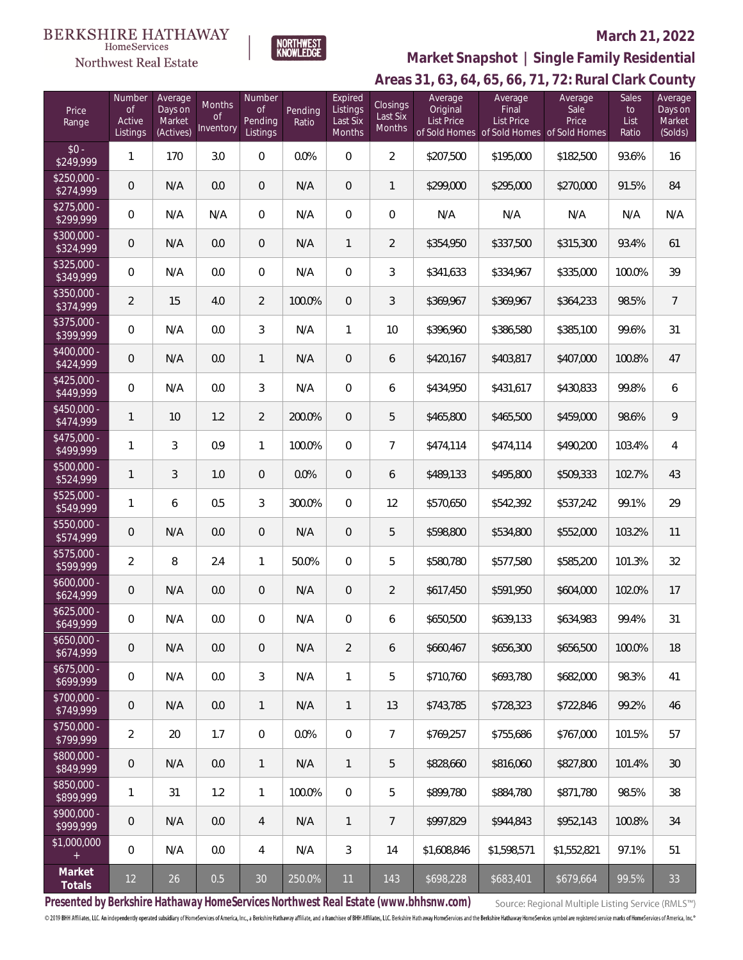#### **BERKSHIRE HATHAWAY** HomeServices Northwest Real Estate



### **March 21, 2022**

# **Areas 31, 63, 64, 65, 66, 71, 72: Rural Clark County Market Snapshot | Single Family Residential**

| Price<br>Range            | Number<br>$\mathop{\rm of}$<br>Active<br>Listings | Average<br>Days on<br>Market<br>(Actives) | Months<br><sub>of</sub><br>Inventory | Number<br><b>of</b><br>Pending<br>Listings | Pending<br>Ratio | Expired<br>Listings<br>Last Six<br><b>Months</b> | Closings<br>Last Six<br>Months | Average<br>Original<br><b>List Price</b> | Average<br>Final<br><b>List Price</b><br>of Sold Homes of Sold Homes of Sold Homes | Average<br>Sale<br>Price | Sales<br>to<br>List<br>Ratio | Average<br>Days on<br>Market<br>(Solds) |
|---------------------------|---------------------------------------------------|-------------------------------------------|--------------------------------------|--------------------------------------------|------------------|--------------------------------------------------|--------------------------------|------------------------------------------|------------------------------------------------------------------------------------|--------------------------|------------------------------|-----------------------------------------|
| $$0 -$<br>\$249,999       | $\mathbf{1}$                                      | 170                                       | 3.0                                  | 0                                          | 0.0%             | $\Omega$                                         | $\overline{2}$                 | \$207,500                                | \$195,000                                                                          | \$182,500                | 93.6%                        | 16                                      |
| $$250.000 -$<br>\$274,999 | $\theta$                                          | N/A                                       | 0.0                                  | $\overline{0}$                             | N/A              | $\overline{0}$                                   | 1                              | \$299,000                                | \$295,000                                                                          | \$270,000                | 91.5%                        | 84                                      |
| $$275,000 -$<br>\$299,999 | $\mathbf{0}$                                      | N/A                                       | N/A                                  | $\overline{0}$                             | N/A              | $\Omega$                                         | $\overline{0}$                 | N/A                                      | N/A                                                                                | N/A                      | N/A                          | N/A                                     |
| \$300,000 -<br>\$324,999  | $\overline{0}$                                    | N/A                                       | 0.0                                  | $\overline{0}$                             | N/A              | $\mathbf{1}$                                     | $\overline{2}$                 | \$354,950                                | \$337,500                                                                          | \$315,300                | 93.4%                        | 61                                      |
| \$325,000 -<br>\$349,999  | $\overline{0}$                                    | N/A                                       | 0.0                                  | $\overline{0}$                             | N/A              | $\Omega$                                         | 3                              | \$341,633                                | \$334,967                                                                          | \$335,000                | 100.0%                       | 39                                      |
| \$350,000 -<br>\$374,999  | $\overline{2}$                                    | 15                                        | 4.0                                  | $\overline{2}$                             | 100.0%           | $\Omega$                                         | 3                              | \$369,967                                | \$369,967                                                                          | \$364,233                | 98.5%                        | $\overline{7}$                          |
| \$375,000 -<br>\$399,999  | $\overline{0}$                                    | N/A                                       | 0.0                                  | 3                                          | N/A              | $\mathbf{1}$                                     | 10                             | \$396,960                                | \$386,580                                                                          | \$385,100                | 99.6%                        | 31                                      |
| \$400,000 -<br>\$424,999  | $\overline{0}$                                    | N/A                                       | 0.0                                  | $\mathbf{1}$                               | N/A              | $\overline{0}$                                   | 6                              | \$420,167                                | \$403,817                                                                          | \$407,000                | 100.8%                       | 47                                      |
| \$425,000 -<br>\$449,999  | $\overline{0}$                                    | N/A                                       | 0.0                                  | 3                                          | N/A              | $\Omega$                                         | 6                              | \$434,950                                | \$431,617                                                                          | \$430,833                | 99.8%                        | 6                                       |
| $$450,000 -$<br>\$474,999 | $\mathbf{1}$                                      | 10                                        | 1.2                                  | $\overline{2}$                             | 200.0%           | $\Omega$                                         | 5                              | \$465,800                                | \$465,500                                                                          | \$459,000                | 98.6%                        | 9                                       |
| $$475,000 -$<br>\$499,999 | 1                                                 | 3                                         | 0.9                                  | 1                                          | 100.0%           | $\Omega$                                         | $\overline{7}$                 | \$474,114                                | \$474,114                                                                          | \$490,200                | 103.4%                       | 4                                       |
| \$500,000 -<br>\$524,999  | $\mathbf{1}$                                      | 3                                         | 1.0                                  | $\overline{0}$                             | 0.0%             | $\overline{0}$                                   | 6                              | \$489,133                                | \$495,800                                                                          | \$509,333                | 102.7%                       | 43                                      |
| $$525,000 -$<br>\$549,999 | $\mathbf{1}$                                      | 6                                         | 0.5                                  | 3                                          | 300.0%           | $\Omega$                                         | 12                             | \$570,650                                | \$542,392                                                                          | \$537,242                | 99.1%                        | 29                                      |
| \$550,000 -<br>\$574,999  | $\overline{0}$                                    | N/A                                       | 0.0                                  | $\overline{0}$                             | N/A              | $\overline{0}$                                   | 5                              | \$598,800                                | \$534,800                                                                          | \$552,000                | 103.2%                       | 11                                      |
| \$575,000 -<br>\$599,999  | $\overline{2}$                                    | 8                                         | 2.4                                  | 1                                          | 50.0%            | $\Omega$                                         | 5                              | \$580,780                                | \$577,580                                                                          | \$585,200                | 101.3%                       | 32                                      |
| $$600,000 -$<br>\$624,999 | $\overline{0}$                                    | N/A                                       | 0.0                                  | $\mathbf 0$                                | N/A              | $\overline{0}$                                   | $\overline{2}$                 | \$617,450                                | \$591,950                                                                          | \$604,000                | 102.0%                       | 17                                      |
| $$625,000 -$<br>\$649,999 | $\mathbf 0$                                       | N/A                                       | 0.0                                  | $\overline{0}$                             | N/A              | 0                                                | 6                              | \$650,500                                | \$639,133                                                                          | \$634,983                | 99.4%                        | 31                                      |
| $$650,000 -$<br>\$674,999 | $\mathbf 0$                                       | N/A                                       | 0.0                                  | $\mathbf 0$                                | N/A              | $\overline{2}$                                   | 6                              | \$660,467                                | \$656,300                                                                          | \$656,500                | 100.0%                       | 18                                      |
| $$675,000 -$<br>\$699,999 | 0                                                 | N/A                                       | 0.0                                  | $\mathfrak{Z}$                             | N/A              | 1                                                | 5                              | \$710,760                                | \$693,780                                                                          | \$682,000                | 98.3%                        | 41                                      |
| \$700,000 -<br>\$749,999  | $\mathbf 0$                                       | N/A                                       | 0.0                                  | $\mathbf{1}$                               | N/A              | $\mathbf{1}$                                     | 13                             | \$743,785                                | \$728,323                                                                          | \$722,846                | 99.2%                        | 46                                      |
| \$750,000 -<br>\$799,999  | $\overline{2}$                                    | 20                                        | 1.7                                  | 0                                          | 0.0%             | $\overline{0}$                                   | $\overline{7}$                 | \$769,257                                | \$755,686                                                                          | \$767,000                | 101.5%                       | 57                                      |
| \$800,000 -<br>\$849,999  | $\mathbf 0$                                       | N/A                                       | 0.0                                  | $\mathbf{1}$                               | N/A              | $\mathbf{1}$                                     | 5                              | \$828,660                                | \$816,060                                                                          | \$827,800                | 101.4%                       | 30                                      |
| \$850,000 -<br>\$899,999  | $\mathbf{1}$                                      | 31                                        | 1.2                                  | 1                                          | 100.0%           | $\mathbf 0$                                      | 5                              | \$899,780                                | \$884,780                                                                          | \$871,780                | 98.5%                        | 38                                      |
| \$900,000 -<br>\$999,999  | $\mathbf 0$                                       | N/A                                       | 0.0                                  | $\overline{4}$                             | N/A              | $\mathbf{1}$                                     | $\overline{7}$                 | \$997,829                                | \$944,843                                                                          | \$952,143                | 100.8%                       | 34                                      |
| \$1,000,000<br>$\ddot{}$  | $\mathbf 0$                                       | N/A                                       | 0.0                                  | $\overline{4}$                             | N/A              | 3                                                | 14                             | \$1,608,846                              | \$1,598,571                                                                        | \$1,552,821              | 97.1%                        | 51                                      |
| Market<br>Totals          | 12                                                | 26                                        | 0.5                                  | 30 <sup>°</sup>                            | 250.0%           | 11                                               | 143                            | \$698,228                                | \$683,401                                                                          | \$679,664                | 99.5%                        | 33                                      |

**Presented by Berkshire Hathaway HomeServices Northwest Real Estate (www.bhhsnw.com)**

Source: Regional Multiple Listing Service (RMLS™)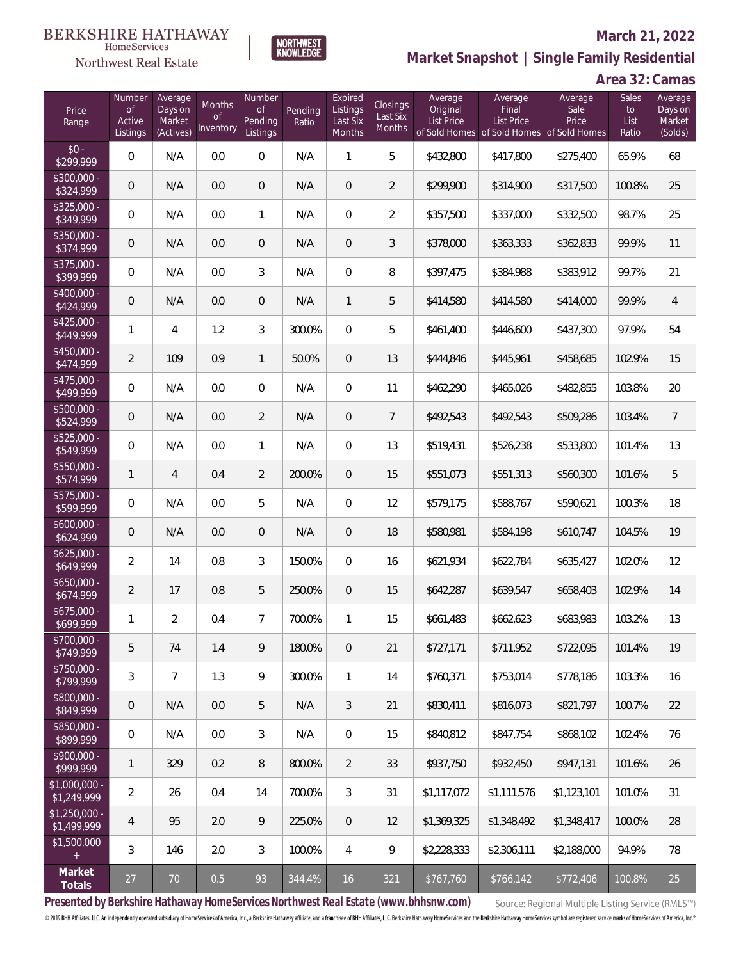

#### **March 21, 2022**

**Market Snapshot | Single Family Residential**

# **Area 32: Camas**

| Price<br>Range                   | Number<br><b>of</b><br>Active<br>Listings | Average<br>Days on<br>Market<br>(Actives) | Months<br><b>of</b><br>Inventory | Number<br><b>of</b><br>Pending<br>Listings | Pending<br>Ratio | Expired<br>Listings<br>Last Six<br>Months | Closings<br>Last Six<br>Months | Average<br>Original<br><b>List Price</b> | Average<br>Final<br>List Price<br>of Sold Homes of Sold Homes of Sold Homes | Average<br>Sale<br>Price | Sales<br>to<br>List<br>Ratio | Average<br>Days on<br>Market<br>(Solds) |
|----------------------------------|-------------------------------------------|-------------------------------------------|----------------------------------|--------------------------------------------|------------------|-------------------------------------------|--------------------------------|------------------------------------------|-----------------------------------------------------------------------------|--------------------------|------------------------------|-----------------------------------------|
| $$0 -$<br>\$299,999              | $\overline{0}$                            | N/A                                       | 0.0                              | $\overline{0}$                             | N/A              | 1                                         | 5                              | \$432,800                                | \$417,800                                                                   | \$275,400                | 65.9%                        | 68                                      |
| $\sqrt{$300,000}$ -<br>\$324,999 | $\overline{0}$                            | N/A                                       | 0.0                              | $\overline{0}$                             | N/A              | $\overline{0}$                            | $\overline{2}$                 | \$299,900                                | \$314,900                                                                   | \$317,500                | 100.8%                       | 25                                      |
| $$325,000 -$<br>\$349,999        | $\overline{0}$                            | N/A                                       | 0.0                              | $\mathbf{1}$                               | N/A              | $\overline{0}$                            | $\overline{2}$                 | \$357,500                                | \$337,000                                                                   | \$332,500                | 98.7%                        | 25                                      |
| $$350,000 -$<br>\$374,999        | $\overline{0}$                            | N/A                                       | 0.0                              | $\overline{0}$                             | N/A              | $\overline{0}$                            | 3                              | \$378,000                                | \$363,333                                                                   | \$362,833                | 99.9%                        | 11                                      |
| $$375,000 -$<br>\$399,999        | $\overline{0}$                            | N/A                                       | 0.0                              | 3                                          | N/A              | $\overline{0}$                            | 8                              | \$397,475                                | \$384,988                                                                   | \$383,912                | 99.7%                        | 21                                      |
| $$400,000 -$<br>\$424,999        | $\overline{0}$                            | N/A                                       | 0.0                              | $\overline{0}$                             | N/A              | $\mathbf{1}$                              | 5                              | \$414,580                                | \$414,580                                                                   | \$414,000                | 99.9%                        | $\overline{4}$                          |
| $$425,000 -$<br>\$449,999        | 1                                         | 4                                         | 1.2                              | 3                                          | 300.0%           | $\overline{0}$                            | 5                              | \$461,400                                | \$446,600                                                                   | \$437,300                | 97.9%                        | 54                                      |
| $$450,000 -$<br>\$474,999        | $\overline{2}$                            | 109                                       | 0.9                              | $\mathbf{1}$                               | 50.0%            | $\overline{0}$                            | 13                             | \$444,846                                | \$445,961                                                                   | \$458,685                | 102.9%                       | 15                                      |
| $$475,000 -$<br>\$499,999        | $\overline{0}$                            | N/A                                       | 0.0                              | $\overline{0}$                             | N/A              | $\overline{0}$                            | 11                             | \$462,290                                | \$465,026                                                                   | \$482,855                | 103.8%                       | 20                                      |
| $$500,000 -$<br>\$524,999        | $\mathbf 0$                               | N/A                                       | 0.0                              | $\overline{2}$                             | N/A              | 0                                         | $\overline{7}$                 | \$492,543                                | \$492,543                                                                   | \$509,286                | 103.4%                       | $\overline{7}$                          |
| $$525,000 -$<br>\$549,999        | $\overline{0}$                            | N/A                                       | 0.0                              | 1                                          | N/A              | $\overline{0}$                            | 13                             | \$519,431                                | \$526,238                                                                   | \$533,800                | 101.4%                       | 13                                      |
| $$550,000 -$<br>\$574,999        | $\mathbf{1}$                              | $\overline{4}$                            | 0.4                              | $\overline{2}$                             | 200.0%           | $\overline{0}$                            | 15                             | \$551,073                                | \$551,313                                                                   | \$560,300                | 101.6%                       | 5                                       |
| \$575,000 -<br>\$599,999         | $\overline{0}$                            | N/A                                       | 0.0                              | 5                                          | N/A              | $\Omega$                                  | 12                             | \$579,175                                | \$588,767                                                                   | \$590,621                | 100.3%                       | 18                                      |
| $$600,000 -$<br>\$624,999        | $\overline{0}$                            | N/A                                       | 0.0                              | $\overline{0}$                             | N/A              | $\overline{0}$                            | 18                             | \$580,981                                | \$584,198                                                                   | \$610,747                | 104.5%                       | 19                                      |
| $$625,000 -$<br>\$649,999        | $\overline{2}$                            | 14                                        | 0.8                              | 3                                          | 150.0%           | $\overline{0}$                            | 16                             | \$621,934                                | \$622,784                                                                   | \$635,427                | 102.0%                       | 12                                      |
| $$650,000 -$<br>\$674,999        | $\overline{2}$                            | 17                                        | 0.8                              | 5                                          | 250.0%           | $\overline{0}$                            | 15                             | \$642,287                                | \$639,547                                                                   | \$658,403                | 102.9%                       | 14                                      |
| $$675,000 -$<br>\$699,999        | 1                                         | $\overline{2}$                            | 0.4                              | $\overline{7}$                             | 700.0%           | $\mathbf{1}$                              | 15                             | \$661,483                                | \$662,623                                                                   | \$683,983                | 103.2%                       | 13                                      |
| \$700,000 -<br>\$749,999         | 5                                         | 74                                        | 1.4                              | 9                                          | 180.0%           | $\mathbf 0$                               | 21                             | \$727,171                                | \$711,952                                                                   | \$722,095                | 101.4%                       | 19                                      |
| \$750,000 -<br>\$799,999         | 3                                         | $\overline{7}$                            | 1.3                              | 9                                          | 300.0%           | $\mathbf{1}$                              | 14                             | \$760,371                                | \$753,014                                                                   | \$778,186                | 103.3%                       | 16                                      |
| \$800,000 -<br>\$849,999         | $\boldsymbol{0}$                          | N/A                                       | 0.0                              | 5                                          | N/A              | 3                                         | 21                             | \$830,411                                | \$816,073                                                                   | \$821,797                | 100.7%                       | 22                                      |
| \$850,000 -<br>\$899,999         | $\overline{0}$                            | N/A                                       | 0.0                              | 3                                          | N/A              | $\mathbf 0$                               | 15                             | \$840,812                                | \$847,754                                                                   | \$868,102                | 102.4%                       | 76                                      |
| \$900,000 -<br>\$999,999         | $\mathbf{1}$                              | 329                                       | 0.2                              | $\, 8$                                     | 800.0%           | $\overline{2}$                            | 33                             | \$937,750                                | \$932,450                                                                   | \$947,131                | 101.6%                       | 26                                      |
| $$1,000,000$ -<br>\$1,249,999    | $\overline{2}$                            | 26                                        | 0.4                              | 14                                         | 700.0%           | 3                                         | 31                             | \$1,117,072                              | \$1,111,576                                                                 | \$1,123,101              | 101.0%                       | 31                                      |
| $$1,250,000 -$<br>\$1,499,999    | 4                                         | 95                                        | 2.0                              | 9                                          | 225.0%           | $\overline{0}$                            | 12                             | \$1,369,325                              | \$1,348,492                                                                 | \$1,348,417              | 100.0%                       | 28                                      |
| \$1,500,000<br>$+$               | 3                                         | 146                                       | 2.0                              | 3                                          | 100.0%           | 4                                         | 9                              | \$2,228,333                              | \$2,306,111                                                                 | \$2,188,000              | 94.9%                        | 78                                      |
| Market<br>Totals                 | 27                                        | $70\,$                                    | 0.5                              | 93                                         | 344.4%           | 16                                        | 321                            | \$767,760                                | \$766,142                                                                   | \$772,406                | 100.8%                       | 25                                      |

NORTHWEST<br>KNOWLFDGF

**Presented by Berkshire Hathaway HomeServices Northwest Real Estate (www.bhhsnw.com)**

Source: Regional Multiple Listing Service (RMLS™)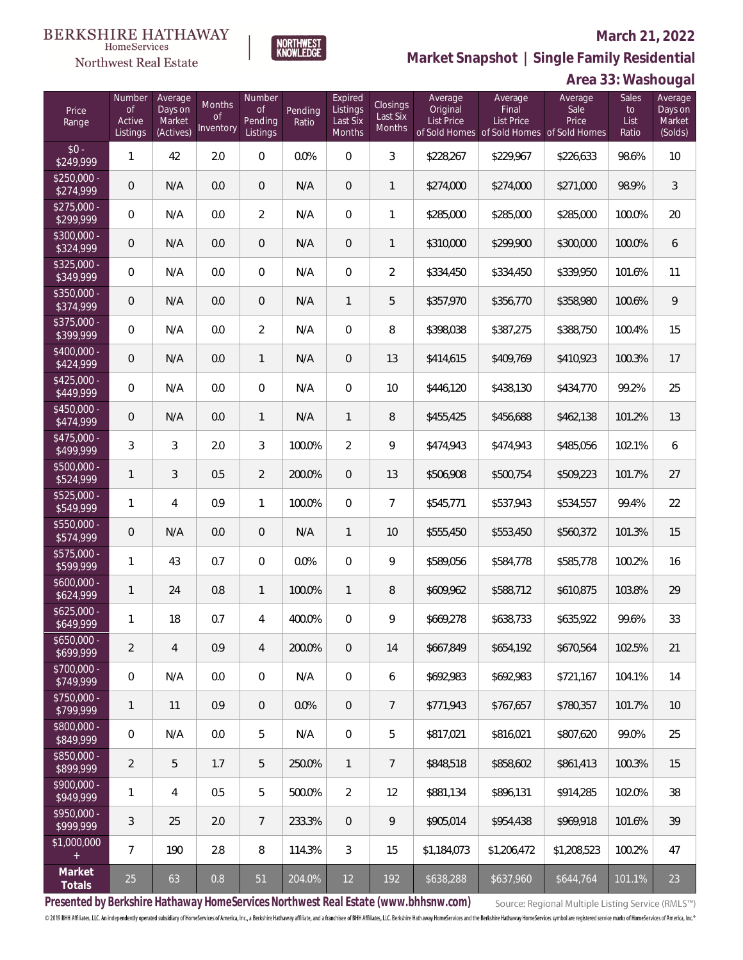#### **BERKSHIRE HATHAWAY** HomeServices

NORTHWEST<br>KNOWLEDGE

### **Northwest Real Estate**

 $rac{$0}{249}$ 

 $$250,00$ <br> $$274,00$ 

 $$275,0$ <br> $$299$ 

 $$300,0$ <br> $$324,$ 

 $$325,0$ <br> $$349$ 

 $$350,00$ <br> $$374,000$ 

 $$375,0$ <br>\$399,

 $$400,0$ <br> $$424$ 

 $$425,0$ <br> $$449$ 

 $$450,00$ <br> $$474$ 

 $$475,0$ <br> $$499$ 

 $$500,0$ 

 $$525,0$ <br> $$549$ 

 $$550,00$ <br>\$574,

 $$575,0$ <br> $$599$ 

 $$600,0$ <br> $$624,$ 

 $$625,0$ <br> $$649$ 

 $$650,000$ 

 $$700,0$ <br> $$749$ 

 $$750,00$ <br> $$799$ 

\$800,0<br>\$849,9

\$850,00<br>\$899.

 $$900,0$ <br> $$949$ 

 $$950,0$ <br> $$999$ 

 $$1,000$ 

#### **March 21, 2022**



| Price<br>Range            | Number<br><b>of</b><br>Active<br>Listings | Average<br>Days on<br>Market<br>(Actives) | Months<br>$\Omega$<br>Inventory | Number<br><b>of</b><br>Pending<br>Listings | Pending<br>Ratio | Expired<br>Listings<br>Last Six<br><b>Months</b> | Closings<br>Last Six<br><b>Months</b> | Average<br>Original<br><b>List Price</b> | Average<br>Final<br><b>List Price</b><br>of Sold Homes of Sold Homes of Sold Homes | Average<br>Sale<br>Price | Sales<br>to<br>List<br>Ratio | Average<br>Days on<br>Market<br>(Solds) |
|---------------------------|-------------------------------------------|-------------------------------------------|---------------------------------|--------------------------------------------|------------------|--------------------------------------------------|---------------------------------------|------------------------------------------|------------------------------------------------------------------------------------|--------------------------|------------------------------|-----------------------------------------|
| $$0 -$<br>\$249,999       | 1                                         | 42                                        | 2.0                             | 0                                          | 0.0%             | 0                                                | 3                                     | \$228,267                                | \$229,967                                                                          | \$226,633                | 98.6%                        | 10                                      |
| \$250,000 -<br>\$274,999  | $\overline{0}$                            | N/A                                       | 0.0                             | 0                                          | N/A              | 0                                                | $\mathbf{1}$                          | \$274,000                                | \$274,000                                                                          | \$271,000                | 98.9%                        | 3                                       |
| \$275,000 -<br>\$299,999  | $\mathbf{0}$                              | N/A                                       | 0.0                             | 2                                          | N/A              | 0                                                | 1                                     | \$285,000                                | \$285,000                                                                          | \$285,000                | 100.0%                       | 20                                      |
| \$300,000 -<br>\$324,999  | $\overline{0}$                            | N/A                                       | 0.0                             | 0                                          | N/A              | 0                                                | $\mathbf{1}$                          | \$310,000                                | \$299,900                                                                          | \$300,000                | 100.0%                       | 6                                       |
| \$325,000 -<br>\$349,999  | $\mathbf{0}$                              | N/A                                       | 0.0                             | 0                                          | N/A              | $\mathbf 0$                                      | $\overline{2}$                        | \$334,450                                | \$334,450                                                                          | \$339,950                | 101.6%                       | 11                                      |
| \$350,000 -<br>\$374,999  | $\mathbf{0}$                              | N/A                                       | 0.0                             | 0                                          | N/A              | 1                                                | 5                                     | \$357,970                                | \$356,770                                                                          | \$358,980                | 100.6%                       | 9                                       |
| \$375,000 -<br>\$399,999  | $\mathbf{0}$                              | N/A                                       | 0.0                             | 2                                          | N/A              | $\overline{0}$                                   | 8                                     | \$398,038                                | \$387,275                                                                          | \$388,750                | 100.4%                       | 15                                      |
| $$400,000 -$<br>\$424,999 | $\overline{0}$                            | N/A                                       | 0.0                             | 1                                          | N/A              | 0                                                | 13                                    | \$414,615                                | \$409,769                                                                          | \$410,923                | 100.3%                       | 17                                      |
| \$425,000 -<br>\$449,999  | $\mathbf{0}$                              | N/A                                       | 0.0                             | 0                                          | N/A              | $\overline{0}$                                   | 10                                    | \$446,120                                | \$438,130                                                                          | \$434,770                | 99.2%                        | 25                                      |
| \$450,000 -<br>\$474,999  | $\sqrt{2}$                                | N/A                                       | 0.0                             | 1                                          | N/A              | 1                                                | 8                                     | \$455,425                                | \$456,688                                                                          | \$462,138                | 101.2%                       | 13                                      |
| \$475,000 -<br>\$499,999  | 3                                         | 3                                         | 2.0                             | 3                                          | 100.0%           | $\overline{2}$                                   | 9                                     | \$474,943                                | \$474,943                                                                          | \$485,056                | 102.1%                       | 6                                       |
| \$500,000 -<br>\$524,999  | 1                                         | 3                                         | 0.5                             | 2                                          | 200.0%           | $\mathbf 0$                                      | 13                                    | \$506,908                                | \$500,754                                                                          | \$509,223                | 101.7%                       | 27                                      |
| \$525,000 -<br>\$549,999  | 1                                         | 4                                         | 0.9                             | 1                                          | 100.0%           | $\overline{0}$                                   | $\overline{7}$                        | \$545,771                                | \$537,943                                                                          | \$534,557                | 99.4%                        | 22                                      |
| \$550,000 -<br>\$574,999  | $\sqrt{2}$                                | N/A                                       | 0.0                             | 0                                          | N/A              | $\mathbf{1}$                                     | 10                                    | \$555,450                                | \$553,450                                                                          | \$560,372                | 101.3%                       | 15                                      |
| \$575,000 -<br>\$599,999  | 1                                         | 43                                        | 0.7                             | 0                                          | 0.0%             | $\overline{0}$                                   | 9                                     | \$589,056                                | \$584,778                                                                          | \$585,778                | 100.2%                       | 16                                      |
| 5600,000 -<br>\$624,999   | 1                                         | 24                                        | 0.8                             | $\mathbf{1}$                               | 100.0%           | $\mathbf{1}$                                     | 8                                     | \$609,962                                | \$588,712                                                                          | \$610,875                | 103.8%                       | 29                                      |
| \$625,000 -<br>\$649,999  | 1                                         | 18                                        | 0.7                             | 4                                          | 400.0%           | $\overline{0}$                                   | 9                                     | \$669,278                                | \$638,733                                                                          | \$635,922                | 99.6%                        | 33                                      |
| $650,000 -$<br>\$699,999  | 2                                         | $\overline{4}$                            | 0.9                             | 4                                          | 200.0%           | 0                                                | 14                                    | \$667,849                                | \$654,192                                                                          | \$670,564                | 102.5%                       | 21                                      |
| \$700,000 -<br>\$749,999  | $\mathbf 0$                               | N/A                                       | 0.0                             | 0                                          | N/A              | 0                                                | 6                                     | \$692,983                                | \$692,983                                                                          | \$721,167                | 104.1%                       | 14                                      |
| \$750,000 -<br>\$799,999  | 1                                         | 11                                        | 0.9                             | 0                                          | 0.0%             | 0                                                | 7                                     | \$771,943                                | \$767,657                                                                          | \$780,357                | 101.7%                       | 10                                      |
| $$800,000-$<br>\$849,999  | $\mathbf 0$                               | N/A                                       | 0.0                             | 5                                          | N/A              | 0                                                | 5                                     | \$817,021                                | \$816,021                                                                          | \$807,620                | 99.0%                        | 25                                      |
| \$850,000 -<br>\$899,999  | $\overline{2}$                            | 5                                         | 1.7                             | 5                                          | 250.0%           | 1                                                | $\overline{7}$                        | \$848,518                                | \$858,602                                                                          | \$861,413                | 100.3%                       | 15                                      |
| \$900,000 -<br>\$949,999  | 1                                         | 4                                         | 0.5                             | 5                                          | 500.0%           | 2                                                | 12                                    | \$881,134                                | \$896,131                                                                          | \$914,285                | 102.0%                       | 38                                      |
| \$950,000 -<br>\$999,999  | 3                                         | 25                                        | 2.0                             | $\overline{7}$                             | 233.3%           | 0                                                | 9                                     | \$905,014                                | \$954,438                                                                          | \$969,918                | 101.6%                       | 39                                      |
| 1,000,000<br>$\pm$        | 7                                         | 190                                       | 2.8                             | 8                                          | 114.3%           | 3                                                | 15                                    | \$1,184,073                              | \$1,206,472                                                                        | \$1,208,523              | 100.2%                       | 47                                      |
| Market<br>Totals          | 25                                        | 63                                        | $0.8\,$                         | 51                                         | 204.0%           | 12                                               | 192                                   | \$638,288                                | \$637,960                                                                          | \$644,764                | 101.1%                       | 23                                      |

**Presented by Berkshire Hathaway HomeServices Northwest Real Estate (www.bhhsnw.com)**

Source: Regional Multiple Listing Service (RMLS™)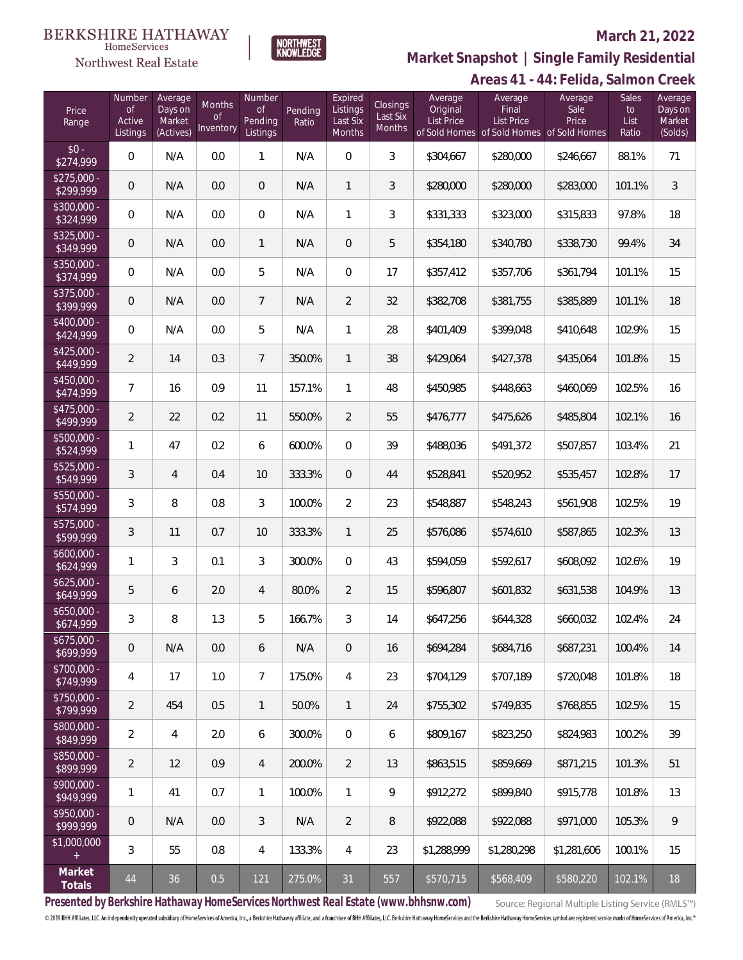# Northwest Real Estate

### **March 21, 2022**



## **Areas 41 - 44: Felida, Salmon Creek Market Snapshot | Single Family Residential**

| Price<br>Range            | Number<br><b>of</b><br>Active<br>Listings | Average<br>Days on<br>Market<br>(Actives) | Months<br><b>of</b><br>Inventory | Number<br><b>of</b><br>Pending<br>Listings | Pending<br>Ratio | Expired<br>Listings<br>Last Six<br>Months | Closings<br>Last Six<br>Months | Average<br>Original<br><b>List Price</b> | Average<br>Final<br><b>List Price</b> | Average<br>Sale<br>Price<br>of Sold Homes of Sold Homes of Sold Homes | Sales<br>to<br>List<br>Ratio | Average<br>Days on<br>Market<br>(Solds) |
|---------------------------|-------------------------------------------|-------------------------------------------|----------------------------------|--------------------------------------------|------------------|-------------------------------------------|--------------------------------|------------------------------------------|---------------------------------------|-----------------------------------------------------------------------|------------------------------|-----------------------------------------|
| $$0 -$<br>\$274,999       | 0                                         | N/A                                       | 0.0                              | $\mathbf{1}$                               | N/A              | $\mathbf 0$                               | 3                              | \$304,667                                | \$280,000                             | \$246,667                                                             | 88.1%                        | 71                                      |
| $$275,000 -$<br>\$299,999 | 0                                         | N/A                                       | 0.0                              | $\overline{0}$                             | N/A              | $\mathbf{1}$                              | 3                              | \$280,000                                | \$280,000                             | \$283,000                                                             | 101.1%                       | 3                                       |
| \$300,000 -<br>\$324,999  | 0                                         | N/A                                       | 0.0                              | $\overline{0}$                             | N/A              | $\overline{1}$                            | 3                              | \$331,333                                | \$323,000                             | \$315,833                                                             | 97.8%                        | 18                                      |
| \$325,000 -<br>\$349,999  | $\overline{0}$                            | N/A                                       | 0.0                              | $\mathbf{1}$                               | N/A              | $\mathbf 0$                               | 5                              | \$354,180                                | \$340,780                             | \$338,730                                                             | 99.4%                        | 34                                      |
| $$350,000 -$<br>\$374,999 | 0                                         | N/A                                       | 0.0                              | 5                                          | N/A              | 0                                         | 17                             | \$357,412                                | \$357,706                             | \$361,794                                                             | 101.1%                       | 15                                      |
| $$375,000 -$<br>\$399,999 | $\overline{0}$                            | N/A                                       | 0.0                              | $7\overline{ }$                            | N/A              | $\overline{2}$                            | 32                             | \$382,708                                | \$381,755                             | \$385,889                                                             | 101.1%                       | 18                                      |
| $$400.000 -$<br>\$424,999 | 0                                         | N/A                                       | 0.0                              | 5                                          | N/A              | 1                                         | 28                             | \$401,409                                | \$399,048                             | \$410,648                                                             | 102.9%                       | 15                                      |
| $$425.000 -$<br>\$449,999 | $\overline{a}$                            | 14                                        | 0.3                              | $7\overline{ }$                            | 350.0%           | $\mathbf{1}$                              | 38                             | \$429,064                                | \$427,378                             | \$435,064                                                             | 101.8%                       | 15                                      |
| $$450,000 -$<br>\$474,999 | 7                                         | 16                                        | 0.9                              | 11                                         | 157.1%           | $\mathbf{1}$                              | 48                             | \$450,985                                | \$448,663                             | \$460,069                                                             | 102.5%                       | 16                                      |
| \$475,000 -<br>\$499,999  | $\overline{a}$                            | 22                                        | 0.2                              | 11                                         | 550.0%           | $\overline{2}$                            | 55                             | \$476,777                                | \$475,626                             | \$485,804                                                             | 102.1%                       | 16                                      |
| \$500,000 -<br>\$524,999  | 1                                         | 47                                        | 0.2                              | 6                                          | 600.0%           | 0                                         | 39                             | \$488,036                                | \$491,372                             | \$507,857                                                             | 103.4%                       | 21                                      |
| \$525,000 -<br>\$549,999  | 3                                         | $\overline{4}$                            | 0.4                              | 10                                         | 333.3%           | $\overline{0}$                            | 44                             | \$528,841                                | \$520,952                             | \$535,457                                                             | 102.8%                       | 17                                      |
| \$550,000 -<br>\$574,999  | 3                                         | 8                                         | 0.8                              | 3                                          | 100.0%           | $\overline{2}$                            | 23                             | \$548,887                                | \$548,243                             | \$561,908                                                             | 102.5%                       | 19                                      |
| \$575,000 -<br>\$599,999  | 3                                         | 11                                        | 0.7                              | 10                                         | 333.3%           | $\mathbf{1}$                              | 25                             | \$576,086                                | \$574,610                             | \$587,865                                                             | 102.3%                       | 13                                      |
| \$600,000 -<br>\$624,999  | 1                                         | 3                                         | 0.1                              | 3                                          | 300.0%           | $\overline{0}$                            | 43                             | \$594,059                                | \$592,617                             | \$608,092                                                             | 102.6%                       | 19                                      |
| $$625,000 -$<br>\$649,999 | 5                                         | 6                                         | 2.0                              | $\overline{4}$                             | 80.0%            | $\overline{2}$                            | 15                             | \$596,807                                | \$601,832                             | \$631,538                                                             | 104.9%                       | 13                                      |
| $$650,000 -$<br>\$674,999 | 3                                         | 8                                         | 1.3                              | 5                                          | 166.7%           | 3                                         | 14                             | \$647,256                                | \$644,328                             | \$660,032                                                             | 102.4%                       | 24                                      |
| \$675,000 -<br>\$699,999  | 0                                         | N/A                                       | 0.0                              | 6                                          | N/A              | $\mathbf 0$                               | 16                             | \$694,284                                | \$684,716                             | \$687,231                                                             | 100.4%                       | 14                                      |
| \$700,000 -<br>\$749,999  | 4                                         | 17                                        | 1.0                              | $\overline{7}$                             | 175.0%           | $\overline{4}$                            | 23                             | \$704,129                                | \$707,189                             | \$720,048                                                             | 101.8%                       | 18                                      |
| \$750,000 -<br>\$799,999  | $\overline{2}$                            | 454                                       | 0.5                              | $\mathbf{1}$                               | 50.0%            | $\mathbf{1}$                              | 24                             | \$755,302                                | \$749.835                             | \$768,855                                                             | 102.5%                       | 15                                      |
| \$800,000 -<br>\$849,999  | $\overline{2}$                            | $\overline{4}$                            | 2.0                              | 6                                          | 300.0%           | $\boldsymbol{0}$                          | 6                              | \$809,167                                | \$823,250                             | \$824,983                                                             | 100.2%                       | 39                                      |
| \$850,000 -<br>\$899,999  | $\overline{2}$                            | 12                                        | 0.9                              | $\overline{4}$                             | 200.0%           | $\overline{2}$                            | 13                             | \$863,515                                | \$859,669                             | \$871,215                                                             | 101.3%                       | 51                                      |
| \$900,000 -<br>\$949,999  | 1                                         | 41                                        | 0.7                              | $\mathbf{1}$                               | 100.0%           | $\mathbf{1}$                              | 9                              | \$912,272                                | \$899,840                             | \$915,778                                                             | 101.8%                       | 13                                      |
| \$950,000 -<br>\$999,999  | $\theta$                                  | N/A                                       | 0.0                              | 3                                          | N/A              | $\overline{2}$                            | 8                              | \$922,088                                | \$922,088                             | \$971,000                                                             | 105.3%                       | 9                                       |
| \$1,000,000<br>$+$        | 3                                         | 55                                        | 0.8                              | $\overline{4}$                             | 133.3%           | $\overline{4}$                            | 23                             | \$1,288,999                              | \$1,280,298                           | \$1,281,606                                                           | 100.1%                       | 15                                      |
| Market<br>Totals          | 44                                        | 36                                        | 0.5                              | 121                                        | 275.0%           | 31                                        | 557                            | \$570,715                                | \$568,409                             | \$580,220                                                             | 102.1%                       | 18                                      |

**Presented by Berkshire Hathaway HomeServices Northwest Real Estate (www.bhhsnw.com)**

Source: Regional Multiple Listing Service (RMLS™)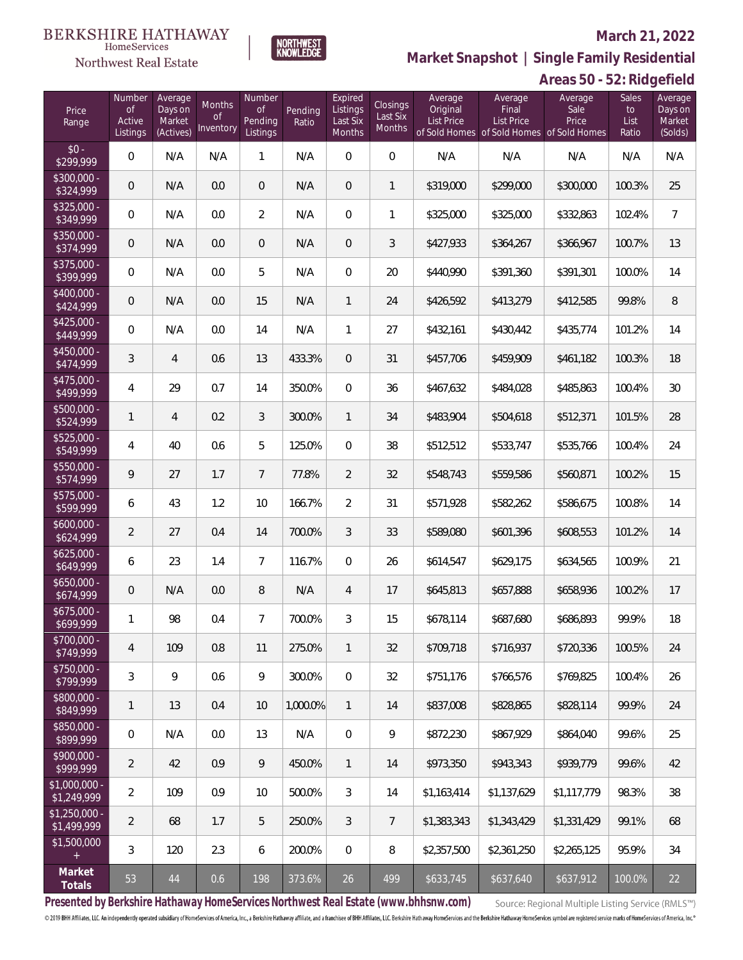## Northwest Real Estate

### **March 21, 2022**



**Market Snapshot | Single Family Residential**

# **Areas 50 - 52: Ridgefield**

| Price<br>Range                                  | Number<br><b>of</b><br>Active<br>Listings | Average<br>Days on<br>Market<br>(Actives) | Months<br><b>of</b><br>Inventory | Number<br><b>of</b><br>Pending<br>Listings | Pending<br>Ratio | Expired<br>Listings<br>Last Six<br>Months | <b>Closings</b><br>Last Six<br>Months | Average<br>Original<br><b>List Price</b> | Average<br>Final<br><b>List Price</b><br>of Sold Homes of Sold Homes of Sold Homes | Average<br>Sale<br>Price | Sales<br>to<br>List<br>Ratio | Average<br>Days on<br>Market<br>(Solds) |
|-------------------------------------------------|-------------------------------------------|-------------------------------------------|----------------------------------|--------------------------------------------|------------------|-------------------------------------------|---------------------------------------|------------------------------------------|------------------------------------------------------------------------------------|--------------------------|------------------------------|-----------------------------------------|
| $$0 -$<br>\$299,999                             | 0                                         | N/A                                       | N/A                              | 1                                          | N/A              | $\overline{0}$                            | $\overline{0}$                        | N/A                                      | N/A                                                                                | N/A                      | N/A                          | N/A                                     |
| $$300,000 -$<br>\$324,999                       | $\mathbf 0$                               | N/A                                       | 0.0                              | $\overline{0}$                             | N/A              | $\mathbf{0}$                              | $\mathbf{1}$                          | \$319,000                                | \$299,000                                                                          | \$300,000                | 100.3%                       | 25                                      |
| $$325,000 -$<br>\$349,999                       | $\mathbf{0}$                              | N/A                                       | 0.0                              | $\overline{2}$                             | N/A              | $\overline{0}$                            | 1                                     | \$325,000                                | \$325,000                                                                          | \$332,863                | 102.4%                       | $\overline{7}$                          |
| $$350,000 -$<br>\$374,999                       | $\mathbf 0$                               | N/A                                       | 0.0                              | $\overline{0}$                             | N/A              | $\overline{0}$                            | 3                                     | \$427,933                                | \$364,267                                                                          | \$366,967                | 100.7%                       | 13                                      |
| $$375,000 -$<br>\$399,999                       | $\overline{0}$                            | N/A                                       | 0.0                              | 5                                          | N/A              | $\overline{0}$                            | 20                                    | \$440.990                                | \$391,360                                                                          | \$391,301                | 100.0%                       | 14                                      |
| $$400,000 -$<br>\$424,999                       | $\mathbf 0$                               | N/A                                       | 0.0                              | 15                                         | N/A              | $\mathbf{1}$                              | 24                                    | \$426,592                                | \$413,279                                                                          | \$412,585                | 99.8%                        | $\, 8$                                  |
| $$425,000 -$<br>\$449,999                       | $\overline{0}$                            | N/A                                       | 0.0                              | 14                                         | N/A              | $\mathbf{1}$                              | 27                                    | \$432,161                                | \$430,442                                                                          | \$435,774                | 101.2%                       | 14                                      |
| $$450,000 -$<br>\$474,999                       | 3                                         | $\overline{4}$                            | 0.6                              | 13                                         | 433.3%           | $\overline{0}$                            | 31                                    | \$457,706                                | \$459,909                                                                          | \$461,182                | 100.3%                       | 18                                      |
| $$475,000 -$<br>\$499,999                       | $\overline{4}$                            | 29                                        | 0.7                              | 14                                         | 350.0%           | $\Omega$                                  | 36                                    | \$467,632                                | \$484,028                                                                          | \$485,863                | 100.4%                       | 30                                      |
| \$500,000 -<br>\$524,999                        | 1                                         | $\overline{4}$                            | 0.2                              | 3                                          | 300.0%           | $\mathbf{1}$                              | 34                                    | \$483,904                                | \$504,618                                                                          | \$512,371                | 101.5%                       | 28                                      |
| $$525,000 -$<br>\$549,999                       | $\overline{4}$                            | 40                                        | 0.6                              | 5                                          | 125.0%           | $\Omega$                                  | 38                                    | \$512,512                                | \$533,747                                                                          | \$535,766                | 100.4%                       | 24                                      |
| \$550,000 -<br>\$574,999                        | 9                                         | 27                                        | 1.7                              | $7^{\circ}$                                | 77.8%            | $\overline{2}$                            | 32                                    | \$548,743                                | \$559,586                                                                          | \$560,871                | 100.2%                       | 15                                      |
| $$575,000 -$<br>\$599,999                       | 6                                         | 43                                        | 1.2                              | 10                                         | 166.7%           | $\overline{2}$                            | 31                                    | \$571,928                                | \$582,262                                                                          | \$586,675                | 100.8%                       | 14                                      |
| $$600,000 -$<br>\$624,999                       | $\overline{2}$                            | 27                                        | 0.4                              | 14                                         | 700.0%           | $\overline{3}$                            | 33                                    | \$589,080                                | \$601,396                                                                          | \$608,553                | 101.2%                       | 14                                      |
| $$625,000 -$<br>\$649,999                       | 6                                         | 23                                        | 1.4                              | $\overline{7}$                             | 116.7%           | $\Omega$                                  | 26                                    | \$614,547                                | \$629,175                                                                          | \$634,565                | 100.9%                       | 21                                      |
| $$650,000 -$<br>\$674,999                       | $\overline{0}$                            | N/A                                       | 0.0                              | 8                                          | N/A              | $\overline{4}$                            | 17                                    | \$645,813                                | \$657,888                                                                          | \$658,936                | 100.2%                       | 17                                      |
| $$675,000 -$<br>\$699,999                       | 1                                         | 98                                        | 0.4                              | $\overline{7}$                             | 700.0%           | 3                                         | 15                                    | \$678,114                                | \$687,680                                                                          | \$686,893                | 99.9%                        | 18                                      |
| \$700,000 -<br>\$749,999                        | 4                                         | 109                                       | 0.8                              | 11                                         | 275.0%           | 1                                         | 32                                    | \$709,718                                | \$716,937                                                                          | \$720,336                | 100.5%                       | 24                                      |
| \$750,000 -<br>\$799,999                        | 3                                         | 9                                         | 0.6                              | 9                                          | 300.0%           | $\mathbf 0$                               | 32                                    | \$751,176                                | \$766,576                                                                          | \$769,825                | 100.4%                       | 26                                      |
| \$800,000 -<br>\$849,999                        | 1                                         | 13                                        | 0.4                              | 10                                         | 1,000.0%         | $\mathbf{1}$                              | 14                                    | \$837,008                                | \$828,865                                                                          | \$828,114                | 99.9%                        | 24                                      |
| \$850,000 -<br>\$899,999                        | 0                                         | N/A                                       | 0.0                              | 13                                         | N/A              | $\mathbf 0$                               | 9                                     | \$872,230                                | \$867,929                                                                          | \$864,040                | 99.6%                        | 25                                      |
| \$900,000 -<br>\$999,999                        | $\overline{2}$                            | 42                                        | 0.9                              | 9                                          | 450.0%           | $\mathbf{1}$                              | 14                                    | \$973,350                                | \$943,343                                                                          | \$939,779                | 99.6%                        | 42                                      |
| $$1,000,000 -$<br>\$1,249,999                   | $\overline{2}$                            | 109                                       | 0.9                              | 10                                         | 500.0%           | 3                                         | 14                                    | \$1,163,414                              | \$1,137,629                                                                        | \$1,117,779              | 98.3%                        | 38                                      |
| $$1,250,000 -$<br>\$1,499,999                   | $\overline{2}$                            | 68                                        | 1.7                              | 5                                          | 250.0%           | 3                                         | $\overline{7}$                        | \$1,383,343                              | \$1,343,429                                                                        | \$1,331,429              | 99.1%                        | 68                                      |
| \$1,500,000<br>$\begin{array}{c} + \end{array}$ | $\mathfrak{Z}$                            | 120                                       | 2.3                              | 6                                          | 200.0%           | $\mathbf 0$                               | 8                                     | \$2,357,500                              | \$2,361,250                                                                        | \$2,265,125              | 95.9%                        | 34                                      |
| Market<br>Totals                                | 53                                        | 44                                        | 0.6                              | 198                                        | 373.6%           | 26                                        | 499                                   | \$633,745                                | \$637,640                                                                          | \$637,912                | 100.0%                       | 22                                      |

**Presented by Berkshire Hathaway HomeServices Northwest Real Estate (www.bhhsnw.com)**

Source: Regional Multiple Listing Service (RMLS™)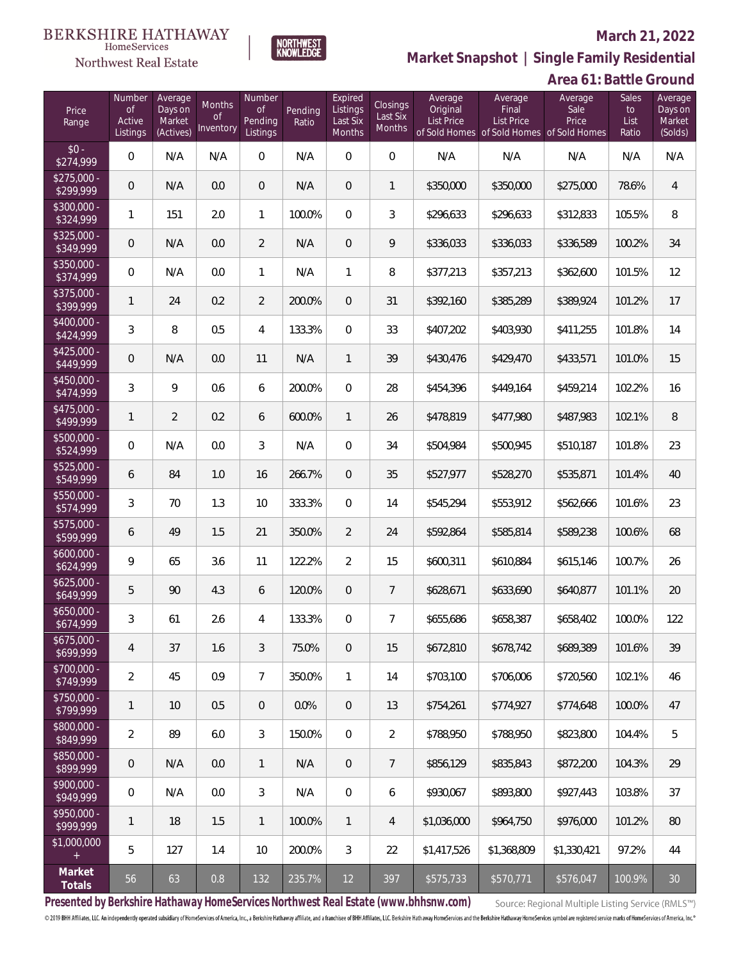# $\begin{array}{llll} \texttt{BERKSHIRE} \texttt{ HATHAWAY} \\ \texttt{\tiny HomeServices} \end{array}$

### Northwest Real Estate

### **March 21, 2022**



| Area 61: Battle Ground |
|------------------------|
|------------------------|

| Price<br>Range            | Number<br><b>of</b><br>Active<br>Listings | Average<br>Days on<br>Market<br>(Actives) | Months<br>of<br>Inventory | Number<br>of<br>Pending<br>Listings | Pending<br>Ratio | Expired<br>Listings<br>Last Six<br>Months | Closings<br>Last Six<br>Months | Average<br>Original<br>List Price | Average<br>Final<br><b>List Price</b> | Average<br>Sale<br>Price<br>of Sold Homes of Sold Homes of Sold Homes | Sales<br>to<br>List<br>Ratio | Average<br>Days on<br>Market<br>(Solds) |
|---------------------------|-------------------------------------------|-------------------------------------------|---------------------------|-------------------------------------|------------------|-------------------------------------------|--------------------------------|-----------------------------------|---------------------------------------|-----------------------------------------------------------------------|------------------------------|-----------------------------------------|
| $$0 -$<br>\$274,999       | $\overline{0}$                            | N/A                                       | N/A                       | $\overline{0}$                      | N/A              | $\mathbf 0$                               | $\overline{0}$                 | N/A                               | N/A                                   | N/A                                                                   | N/A                          | N/A                                     |
| $$275,000 -$<br>\$299,999 | $\mathbf 0$                               | N/A                                       | 0.0                       | $\overline{0}$                      | N/A              | $\overline{0}$                            | 1                              | \$350,000                         | \$350,000                             | \$275,000                                                             | 78.6%                        | $\overline{4}$                          |
| $$300,000 -$<br>\$324,999 | 1                                         | 151                                       | 2.0                       | $\mathbf{1}$                        | 100.0%           | $\overline{0}$                            | 3                              | \$296,633                         | \$296,633                             | \$312,833                                                             | 105.5%                       | 8                                       |
| $$325,000 -$<br>\$349,999 | $\mathbf 0$                               | N/A                                       | 0.0                       | $\overline{2}$                      | N/A              | $\overline{0}$                            | 9                              | \$336,033                         | \$336,033                             | \$336,589                                                             | 100.2%                       | 34                                      |
| $$350,000 -$<br>\$374,999 | $\overline{0}$                            | N/A                                       | 0.0                       | $\mathbf{1}$                        | N/A              | $\mathbf{1}$                              | 8                              | \$377,213                         | \$357,213                             | \$362,600                                                             | 101.5%                       | 12                                      |
| $$375,000 -$<br>\$399,999 | 1                                         | 24                                        | 0.2                       | $\overline{2}$                      | 200.0%           | $\overline{0}$                            | 31                             | \$392,160                         | \$385,289                             | \$389,924                                                             | 101.2%                       | 17                                      |
| $$400,000 -$<br>\$424,999 | $\mathfrak{Z}$                            | 8                                         | 0.5                       | 4                                   | 133.3%           | $\Omega$                                  | 33                             | \$407,202                         | \$403,930                             | \$411,255                                                             | 101.8%                       | 14                                      |
| $$425,000 -$<br>\$449,999 | $\mathbf 0$                               | N/A                                       | 0.0                       | 11                                  | N/A              | $\mathbf{1}$                              | 39                             | \$430,476                         | \$429,470                             | \$433,571                                                             | 101.0%                       | 15                                      |
| $$450,000 -$<br>\$474,999 | $\mathfrak{Z}$                            | 9                                         | 0.6                       | 6                                   | 200.0%           | $\Omega$                                  | 28                             | \$454,396                         | \$449,164                             | \$459,214                                                             | 102.2%                       | 16                                      |
| $$475,000 -$<br>\$499,999 | 1                                         | $\overline{2}$                            | 0.2                       | 6                                   | 600.0%           | $\mathbf{1}$                              | 26                             | \$478,819                         | \$477,980                             | \$487,983                                                             | 102.1%                       | 8                                       |
| $$500.000 -$<br>\$524,999 | $\overline{0}$                            | N/A                                       | 0.0                       | 3                                   | N/A              | $\Omega$                                  | 34                             | \$504,984                         | \$500,945                             | \$510,187                                                             | 101.8%                       | 23                                      |
| $$525,000 -$<br>\$549,999 | 6                                         | 84                                        | 1.0                       | 16                                  | 266.7%           | $\overline{0}$                            | 35                             | \$527,977                         | \$528,270                             | \$535,871                                                             | 101.4%                       | 40                                      |
| \$550,000 -<br>\$574,999  | $\mathfrak{Z}$                            | 70                                        | 1.3                       | 10                                  | 333.3%           | $\Omega$                                  | 14                             | \$545,294                         | \$553,912                             | \$562,666                                                             | 101.6%                       | 23                                      |
| $$575,000 -$<br>\$599,999 | 6                                         | 49                                        | 1.5                       | 21                                  | 350.0%           | $\overline{2}$                            | 24                             | \$592,864                         | \$585,814                             | \$589,238                                                             | 100.6%                       | 68                                      |
| $$600,000 -$<br>\$624,999 | 9                                         | 65                                        | 3.6                       | 11                                  | 122.2%           | $\overline{2}$                            | 15                             | \$600,311                         | \$610,884                             | \$615,146                                                             | 100.7%                       | 26                                      |
| $$625,000 -$<br>\$649,999 | 5                                         | 90                                        | 4.3                       | 6                                   | 120.0%           | $\overline{0}$                            | $\overline{7}$                 | \$628,671                         | \$633,690                             | \$640,877                                                             | 101.1%                       | 20                                      |
| $$650,000 -$<br>\$674,999 | 3                                         | 61                                        | 2.6                       | 4                                   | 133.3%           | $\overline{0}$                            | $\overline{7}$                 | \$655,686                         | \$658,387                             | \$658,402                                                             | 100.0%                       | 122                                     |
| $$675,000 -$<br>\$699,999 | 4                                         | 37                                        | 1.6                       | 3                                   | 75.0%            | $\mathbf 0$                               | 15                             | \$672,810                         | \$678,742                             | \$689,389                                                             | 101.6%                       | 39                                      |
| \$700,000 -<br>\$749,999  | $\overline{2}$                            | 45                                        | 0.9                       | $7\overline{ }$                     | 350.0%           | $\mathbf{1}$                              | 14                             | \$703,100                         | \$706,006                             | \$720,560                                                             | 102.1%                       | 46                                      |
| \$750,000 -<br>\$799,999  | 1                                         | 10                                        | 0.5                       | $\overline{0}$                      | 0.0%             | $\mathbf{0}$                              | 13                             | \$754,261                         | \$774,927                             | \$774,648                                                             | 100.0%                       | 47                                      |
| \$800,000 -<br>\$849,999  | $\overline{2}$                            | 89                                        | 6.0                       | 3                                   | 150.0%           | $\mathbf{0}$                              | $\overline{2}$                 | \$788,950                         | \$788,950                             | \$823,800                                                             | 104.4%                       | 5                                       |
| \$850,000 -<br>\$899,999  | $\mathbf 0$                               | N/A                                       | 0.0                       | $\mathbf{1}$                        | N/A              | $\mathbf{0}$                              | $7\phantom{.}$                 | \$856,129                         | \$835,843                             | \$872,200                                                             | 104.3%                       | 29                                      |
| \$900,000 -<br>\$949,999  | 0                                         | N/A                                       | 0.0                       | 3                                   | N/A              | $\mathbf{0}$                              | 6                              | \$930,067                         | \$893,800                             | \$927,443                                                             | 103.8%                       | 37                                      |
| \$950,000 -<br>\$999,999  | 1                                         | 18                                        | 1.5                       | $\mathbf{1}$                        | 100.0%           | $\mathbf{1}$                              | $\overline{4}$                 | \$1,036,000                       | \$964,750                             | \$976,000                                                             | 101.2%                       | 80                                      |
| \$1,000,000<br>$^{+}$     | 5                                         | 127                                       | 1.4                       | 10                                  | 200.0%           | 3                                         | 22                             | \$1,417,526                       | \$1,368,809                           | \$1,330,421                                                           | 97.2%                        | 44                                      |
| Market<br>Totals          | 56                                        | 63                                        | $0.8\,$                   | 132                                 | 235.7%           | 12                                        | 397                            | \$575,733                         | \$570,771                             | \$576,047                                                             | 100.9%                       | $30\,$                                  |

NORTHWEST<br>KNOWLFDGF

**Presented by Berkshire Hathaway HomeServices Northwest Real Estate (www.bhhsnw.com)**

Source: Regional Multiple Listing Service (RMLS™)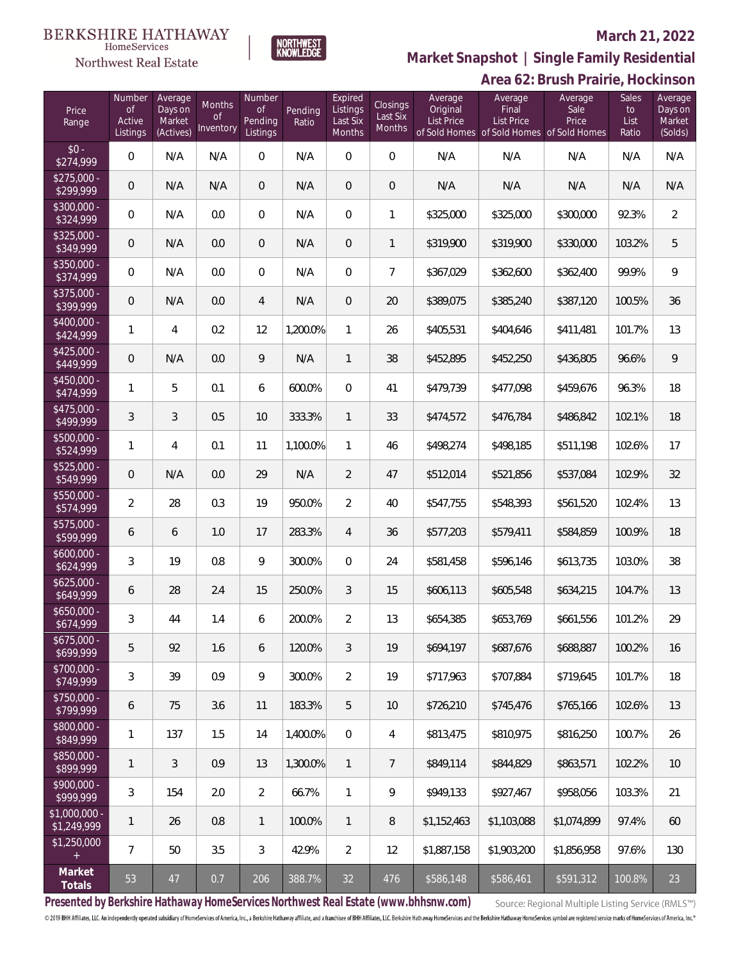# Northwest Real Estate



### **March 21, 2022**

**Area 62: Brush Prairie, Hockinson Market Snapshot | Single Family Residential**

| Price<br>Range                | Number<br><b>of</b><br>Active<br>Listings | Average<br>Days on<br>Market<br>(Actives) | Months<br><sub>of</sub><br>Inventory | Number<br><b>of</b><br><b>Pending</b><br>Listings | Pending<br>Ratio | Expired<br>Listings<br>Last Six<br>Months | Closings<br>Last Six<br><b>Months</b> | Average<br>Original<br><b>List Price</b> | Average<br>Final<br>List Price<br>of Sold Homes of Sold Homes of Sold Homes | Average<br>Sale<br>Price | Sales<br>to<br>List<br>Ratio | Average<br>Days on<br>Market<br>(Solds) |
|-------------------------------|-------------------------------------------|-------------------------------------------|--------------------------------------|---------------------------------------------------|------------------|-------------------------------------------|---------------------------------------|------------------------------------------|-----------------------------------------------------------------------------|--------------------------|------------------------------|-----------------------------------------|
| $$0 -$<br>\$274,999           | $\mathsf{O}\xspace$                       | N/A                                       | N/A                                  | $\mathbf 0$                                       | N/A              | $\mathbf 0$                               | $\mathbf 0$                           | N/A                                      | N/A                                                                         | N/A                      | N/A                          | N/A                                     |
| $$275,000 -$<br>\$299,999     | $\mathbf 0$                               | N/A                                       | N/A                                  | $\mathbf 0$                                       | N/A              | 0                                         | $\mathsf{O}\xspace$                   | N/A                                      | N/A                                                                         | N/A                      | N/A                          | N/A                                     |
| \$300,000 -<br>\$324,999      | $\mathbf 0$                               | N/A                                       | 0.0                                  | $\mathbf 0$                                       | N/A              | $\overline{0}$                            | 1                                     | \$325,000                                | \$325,000                                                                   | \$300,000                | 92.3%                        | $\overline{2}$                          |
| \$325,000 -<br>\$349,999      | $\theta$                                  | N/A                                       | 0.0                                  | $\mathbf 0$                                       | N/A              | 0                                         | $\mathbf{1}$                          | \$319,900                                | \$319,900                                                                   | \$330,000                | 103.2%                       | 5                                       |
| \$350,000 -<br>\$374,999      | $\mathbf 0$                               | N/A                                       | 0.0                                  | $\mathbf 0$                                       | N/A              | $\overline{0}$                            | $\overline{7}$                        | \$367,029                                | \$362,600                                                                   | \$362,400                | 99.9%                        | 9                                       |
| \$375,000 -<br>\$399,999      | $\mathbf 0$                               | N/A                                       | 0.0                                  | $\overline{4}$                                    | N/A              | 0                                         | 20                                    | \$389,075                                | \$385,240                                                                   | \$387,120                | 100.5%                       | 36                                      |
| $$400,000 -$<br>\$424,999     | $\mathbf{1}$                              | 4                                         | 0.2                                  | 12                                                | 1,200.0%         | $\mathbf{1}$                              | 26                                    | \$405,531                                | \$404,646                                                                   | \$411,481                | 101.7%                       | 13                                      |
| $$425,000 -$<br>\$449,999     | $\theta$                                  | N/A                                       | 0.0                                  | 9                                                 | N/A              | $\mathbf{1}$                              | 38                                    | \$452,895                                | \$452,250                                                                   | \$436,805                | 96.6%                        | $\mathsf q$                             |
| $$450,000 -$<br>\$474,999     | $\mathbf{1}$                              | 5                                         | 0.1                                  | 6                                                 | 600.0%           | $\overline{0}$                            | 41                                    | \$479,739                                | \$477,098                                                                   | \$459,676                | 96.3%                        | 18                                      |
| $$475,000 -$<br>\$499,999     | 3                                         | 3                                         | 0.5                                  | 10                                                | 333.3%           | $\mathbf{1}$                              | 33                                    | \$474,572                                | \$476,784                                                                   | \$486,842                | 102.1%                       | 18                                      |
| \$500,000 -<br>\$524,999      | $\mathbf{1}$                              | $\overline{4}$                            | 0.1                                  | 11                                                | 1,100.0%         | $\mathbf{1}$                              | 46                                    | \$498,274                                | \$498,185                                                                   | \$511,198                | 102.6%                       | 17                                      |
| $$525,000 -$<br>\$549,999     | $\theta$                                  | N/A                                       | 0.0                                  | 29                                                | N/A              | $\overline{2}$                            | 47                                    | \$512,014                                | \$521,856                                                                   | \$537,084                | 102.9%                       | 32                                      |
| \$550,000 -<br>\$574,999      | $\overline{2}$                            | 28                                        | 0.3                                  | 19                                                | 950.0%           | $\overline{2}$                            | 40                                    | \$547,755                                | \$548,393                                                                   | \$561,520                | 102.4%                       | 13                                      |
| $$575,000 -$<br>\$599,999     | 6                                         | 6                                         | 1.0                                  | 17                                                | 283.3%           | $\overline{4}$                            | 36                                    | \$577,203                                | \$579,411                                                                   | \$584,859                | 100.9%                       | 18                                      |
| $$600.000 -$<br>\$624,999     | 3                                         | 19                                        | 0.8                                  | 9                                                 | 300.0%           | $\mathbf{0}$                              | 24                                    | \$581,458                                | \$596,146                                                                   | \$613,735                | 103.0%                       | 38                                      |
| $$625,000 -$<br>\$649,999     | 6                                         | 28                                        | 2.4                                  | 15                                                | 250.0%           | 3                                         | 15                                    | \$606,113                                | \$605,548                                                                   | \$634,215                | 104.7%                       | 13                                      |
| \$650,000 -<br>\$674,999      | 3                                         | 44                                        | 1.4                                  | 6                                                 | 200.0%           | 2                                         | 13                                    | \$654,385                                | \$653,769                                                                   | \$661,556                | 101.2%                       | 29                                      |
| $$675,000 -$<br>\$699,999     | 5                                         | 92                                        | 1.6                                  | 6                                                 | 120.0%           | 3                                         | 19                                    | \$694.197                                | \$687,676                                                                   | \$688,887                | 100.2%                       | 16                                      |
| \$700,000 -<br>\$749,999      | 3                                         | 39                                        | 0.9                                  | 9                                                 | 300.0%           | $\overline{2}$                            | 19                                    | \$717,963                                | \$707.884                                                                   | \$719,645                | 101.7%                       | 18                                      |
| \$750,000 -<br>\$799,999      | 6                                         | 75                                        | 3.6                                  | 11                                                | 183.3%           | 5                                         | 10                                    | \$726,210                                | \$745,476                                                                   | \$765.166                | 102.6%                       | 13                                      |
| \$800,000 -<br>\$849,999      | 1                                         | 137                                       | 1.5                                  | 14                                                | 1,400.0%         | $\mathbf{0}$                              | 4                                     | \$813,475                                | \$810,975                                                                   | \$816,250                | 100.7%                       | 26                                      |
| \$850,000 -<br>\$899,999      | $\mathbf{1}$                              | 3                                         | 0.9                                  | 13                                                | 1,300.0%         | $\mathbf{1}$                              | $\overline{7}$                        | \$849,114                                | \$844.829                                                                   | \$863,571                | 102.2%                       | 10                                      |
| \$900,000 -<br>\$999,999      | 3                                         | 154                                       | 2.0                                  | $\overline{2}$                                    | 66.7%            | $\mathbf{1}$                              | 9                                     | \$949,133                                | \$927,467                                                                   | \$958,056                | 103.3%                       | 21                                      |
| $$1,000,000$ -<br>\$1,249,999 | $\mathbf{1}$                              | 26                                        | 0.8                                  | $\mathbf{1}$                                      | 100.0%           | $\mathbf{1}$                              | 8                                     | \$1,152,463                              | \$1,103,088                                                                 | \$1,074,899              | 97.4%                        | 60                                      |
| \$1,250,000                   | $\overline{7}$                            | 50                                        | 3.5                                  | 3                                                 | 42.9%            | $\overline{2}$                            | 12                                    | \$1,887,158                              | \$1,903,200                                                                 | \$1,856,958              | 97.6%                        | 130                                     |
| Market<br>Totals              | 53                                        | 47                                        | 0.7                                  | 206                                               | 388.7%           | 32                                        | 476                                   | \$586,148                                | \$586,461                                                                   | \$591,312                | 100.8%                       | 23                                      |

**Presented by Berkshire Hathaway HomeServices Northwest Real Estate (www.bhhsnw.com)**

Source: Regional Multiple Listing Service (RMLS™)